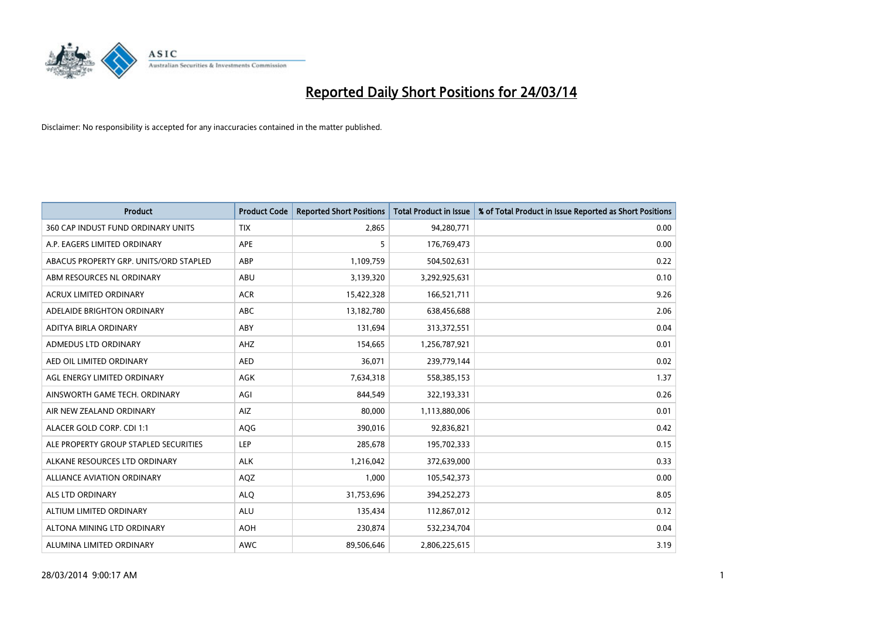

| <b>Product</b>                         | <b>Product Code</b> | <b>Reported Short Positions</b> | <b>Total Product in Issue</b> | % of Total Product in Issue Reported as Short Positions |
|----------------------------------------|---------------------|---------------------------------|-------------------------------|---------------------------------------------------------|
| 360 CAP INDUST FUND ORDINARY UNITS     | <b>TIX</b>          | 2,865                           | 94,280,771                    | 0.00                                                    |
| A.P. EAGERS LIMITED ORDINARY           | APE                 | 5                               | 176,769,473                   | 0.00                                                    |
| ABACUS PROPERTY GRP. UNITS/ORD STAPLED | ABP                 | 1,109,759                       | 504,502,631                   | 0.22                                                    |
| ABM RESOURCES NL ORDINARY              | ABU                 | 3,139,320                       | 3,292,925,631                 | 0.10                                                    |
| <b>ACRUX LIMITED ORDINARY</b>          | <b>ACR</b>          | 15,422,328                      | 166,521,711                   | 9.26                                                    |
| ADELAIDE BRIGHTON ORDINARY             | <b>ABC</b>          | 13,182,780                      | 638,456,688                   | 2.06                                                    |
| ADITYA BIRLA ORDINARY                  | ABY                 | 131,694                         | 313,372,551                   | 0.04                                                    |
| ADMEDUS LTD ORDINARY                   | AHZ                 | 154,665                         | 1,256,787,921                 | 0.01                                                    |
| AED OIL LIMITED ORDINARY               | <b>AED</b>          | 36,071                          | 239,779,144                   | 0.02                                                    |
| AGL ENERGY LIMITED ORDINARY            | <b>AGK</b>          | 7,634,318                       | 558,385,153                   | 1.37                                                    |
| AINSWORTH GAME TECH. ORDINARY          | AGI                 | 844,549                         | 322,193,331                   | 0.26                                                    |
| AIR NEW ZEALAND ORDINARY               | <b>AIZ</b>          | 80,000                          | 1,113,880,006                 | 0.01                                                    |
| ALACER GOLD CORP. CDI 1:1              | AQG                 | 390,016                         | 92,836,821                    | 0.42                                                    |
| ALE PROPERTY GROUP STAPLED SECURITIES  | LEP                 | 285,678                         | 195,702,333                   | 0.15                                                    |
| ALKANE RESOURCES LTD ORDINARY          | <b>ALK</b>          | 1,216,042                       | 372,639,000                   | 0.33                                                    |
| ALLIANCE AVIATION ORDINARY             | AQZ                 | 1,000                           | 105,542,373                   | 0.00                                                    |
| ALS LTD ORDINARY                       | <b>ALQ</b>          | 31,753,696                      | 394,252,273                   | 8.05                                                    |
| ALTIUM LIMITED ORDINARY                | ALU                 | 135,434                         | 112,867,012                   | 0.12                                                    |
| ALTONA MINING LTD ORDINARY             | <b>AOH</b>          | 230,874                         | 532,234,704                   | 0.04                                                    |
| ALUMINA LIMITED ORDINARY               | <b>AWC</b>          | 89,506,646                      | 2,806,225,615                 | 3.19                                                    |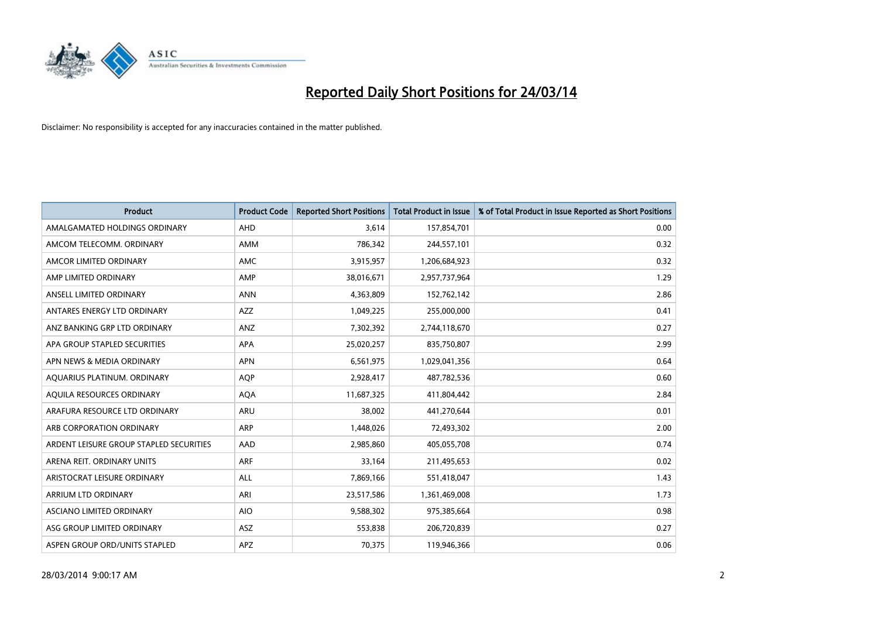

| <b>Product</b>                          | <b>Product Code</b> | <b>Reported Short Positions</b> | <b>Total Product in Issue</b> | % of Total Product in Issue Reported as Short Positions |
|-----------------------------------------|---------------------|---------------------------------|-------------------------------|---------------------------------------------------------|
| AMALGAMATED HOLDINGS ORDINARY           | <b>AHD</b>          | 3.614                           | 157,854,701                   | 0.00                                                    |
| AMCOM TELECOMM, ORDINARY                | <b>AMM</b>          | 786,342                         | 244,557,101                   | 0.32                                                    |
| AMCOR LIMITED ORDINARY                  | <b>AMC</b>          | 3,915,957                       | 1,206,684,923                 | 0.32                                                    |
| AMP LIMITED ORDINARY                    | AMP                 | 38,016,671                      | 2,957,737,964                 | 1.29                                                    |
| ANSELL LIMITED ORDINARY                 | <b>ANN</b>          | 4,363,809                       | 152,762,142                   | 2.86                                                    |
| ANTARES ENERGY LTD ORDINARY             | AZZ                 | 1,049,225                       | 255,000,000                   | 0.41                                                    |
| ANZ BANKING GRP LTD ORDINARY            | ANZ                 | 7,302,392                       | 2,744,118,670                 | 0.27                                                    |
| APA GROUP STAPLED SECURITIES            | <b>APA</b>          | 25,020,257                      | 835,750,807                   | 2.99                                                    |
| APN NEWS & MEDIA ORDINARY               | <b>APN</b>          | 6,561,975                       | 1,029,041,356                 | 0.64                                                    |
| AOUARIUS PLATINUM. ORDINARY             | <b>AOP</b>          | 2,928,417                       | 487,782,536                   | 0.60                                                    |
| AQUILA RESOURCES ORDINARY               | <b>AQA</b>          | 11,687,325                      | 411,804,442                   | 2.84                                                    |
| ARAFURA RESOURCE LTD ORDINARY           | ARU                 | 38,002                          | 441,270,644                   | 0.01                                                    |
| ARB CORPORATION ORDINARY                | <b>ARP</b>          | 1,448,026                       | 72,493,302                    | 2.00                                                    |
| ARDENT LEISURE GROUP STAPLED SECURITIES | AAD                 | 2,985,860                       | 405,055,708                   | 0.74                                                    |
| ARENA REIT. ORDINARY UNITS              | <b>ARF</b>          | 33,164                          | 211,495,653                   | 0.02                                                    |
| ARISTOCRAT LEISURE ORDINARY             | ALL                 | 7,869,166                       | 551,418,047                   | 1.43                                                    |
| ARRIUM LTD ORDINARY                     | ARI                 | 23,517,586                      | 1,361,469,008                 | 1.73                                                    |
| ASCIANO LIMITED ORDINARY                | <b>AIO</b>          | 9,588,302                       | 975,385,664                   | 0.98                                                    |
| ASG GROUP LIMITED ORDINARY              | <b>ASZ</b>          | 553,838                         | 206,720,839                   | 0.27                                                    |
| ASPEN GROUP ORD/UNITS STAPLED           | APZ                 | 70,375                          | 119,946,366                   | 0.06                                                    |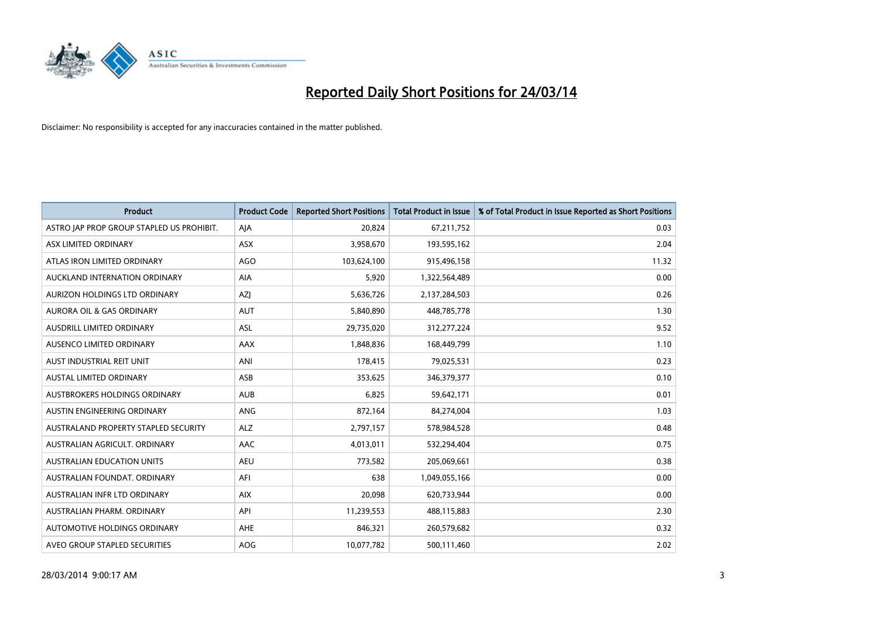

| <b>Product</b>                            | <b>Product Code</b> | <b>Reported Short Positions</b> | <b>Total Product in Issue</b> | % of Total Product in Issue Reported as Short Positions |
|-------------------------------------------|---------------------|---------------------------------|-------------------------------|---------------------------------------------------------|
| ASTRO JAP PROP GROUP STAPLED US PROHIBIT. | AJA                 | 20,824                          | 67,211,752                    | 0.03                                                    |
| ASX LIMITED ORDINARY                      | ASX                 | 3,958,670                       | 193,595,162                   | 2.04                                                    |
| ATLAS IRON LIMITED ORDINARY               | <b>AGO</b>          | 103,624,100                     | 915,496,158                   | 11.32                                                   |
| AUCKLAND INTERNATION ORDINARY             | <b>AIA</b>          | 5,920                           | 1,322,564,489                 | 0.00                                                    |
| AURIZON HOLDINGS LTD ORDINARY             | AZJ                 | 5,636,726                       | 2,137,284,503                 | 0.26                                                    |
| <b>AURORA OIL &amp; GAS ORDINARY</b>      | <b>AUT</b>          | 5,840,890                       | 448,785,778                   | 1.30                                                    |
| AUSDRILL LIMITED ORDINARY                 | ASL                 | 29,735,020                      | 312,277,224                   | 9.52                                                    |
| AUSENCO LIMITED ORDINARY                  | AAX                 | 1,848,836                       | 168,449,799                   | 1.10                                                    |
| AUST INDUSTRIAL REIT UNIT                 | ANI                 | 178,415                         | 79,025,531                    | 0.23                                                    |
| <b>AUSTAL LIMITED ORDINARY</b>            | ASB                 | 353,625                         | 346,379,377                   | 0.10                                                    |
| AUSTBROKERS HOLDINGS ORDINARY             | <b>AUB</b>          | 6,825                           | 59,642,171                    | 0.01                                                    |
| AUSTIN ENGINEERING ORDINARY               | ANG                 | 872,164                         | 84,274,004                    | 1.03                                                    |
| AUSTRALAND PROPERTY STAPLED SECURITY      | <b>ALZ</b>          | 2,797,157                       | 578,984,528                   | 0.48                                                    |
| AUSTRALIAN AGRICULT, ORDINARY             | AAC                 | 4,013,011                       | 532,294,404                   | 0.75                                                    |
| <b>AUSTRALIAN EDUCATION UNITS</b>         | <b>AEU</b>          | 773,582                         | 205,069,661                   | 0.38                                                    |
| AUSTRALIAN FOUNDAT. ORDINARY              | AFI                 | 638                             | 1,049,055,166                 | 0.00                                                    |
| AUSTRALIAN INFR LTD ORDINARY              | <b>AIX</b>          | 20,098                          | 620,733,944                   | 0.00                                                    |
| AUSTRALIAN PHARM, ORDINARY                | API                 | 11,239,553                      | 488,115,883                   | 2.30                                                    |
| AUTOMOTIVE HOLDINGS ORDINARY              | AHE                 | 846,321                         | 260,579,682                   | 0.32                                                    |
| AVEO GROUP STAPLED SECURITIES             | <b>AOG</b>          | 10,077,782                      | 500,111,460                   | 2.02                                                    |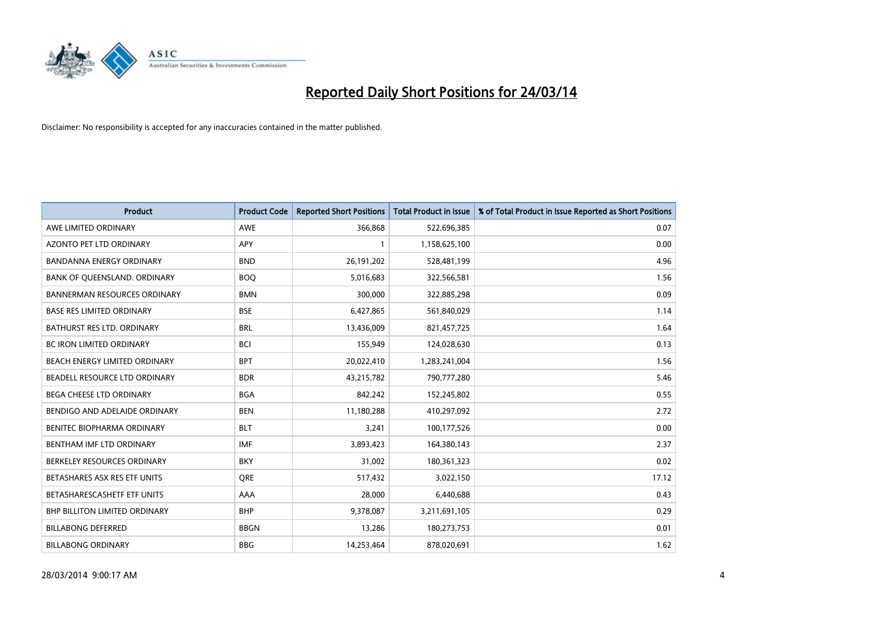

| <b>Product</b>                       | <b>Product Code</b> | <b>Reported Short Positions</b> | <b>Total Product in Issue</b> | % of Total Product in Issue Reported as Short Positions |
|--------------------------------------|---------------------|---------------------------------|-------------------------------|---------------------------------------------------------|
| AWE LIMITED ORDINARY                 | <b>AWE</b>          | 366,868                         | 522,696,385                   | 0.07                                                    |
| AZONTO PET LTD ORDINARY              | APY                 | $\mathbf{1}$                    | 1,158,625,100                 | 0.00                                                    |
| <b>BANDANNA ENERGY ORDINARY</b>      | <b>BND</b>          | 26, 191, 202                    | 528,481,199                   | 4.96                                                    |
| BANK OF QUEENSLAND. ORDINARY         | <b>BOQ</b>          | 5,016,683                       | 322,566,581                   | 1.56                                                    |
| <b>BANNERMAN RESOURCES ORDINARY</b>  | <b>BMN</b>          | 300,000                         | 322,885,298                   | 0.09                                                    |
| <b>BASE RES LIMITED ORDINARY</b>     | <b>BSE</b>          | 6,427,865                       | 561,840,029                   | 1.14                                                    |
| BATHURST RES LTD. ORDINARY           | <b>BRL</b>          | 13,436,009                      | 821,457,725                   | 1.64                                                    |
| BC IRON LIMITED ORDINARY             | <b>BCI</b>          | 155,949                         | 124,028,630                   | 0.13                                                    |
| BEACH ENERGY LIMITED ORDINARY        | <b>BPT</b>          | 20,022,410                      | 1,283,241,004                 | 1.56                                                    |
| <b>BEADELL RESOURCE LTD ORDINARY</b> | <b>BDR</b>          | 43,215,782                      | 790,777,280                   | 5.46                                                    |
| BEGA CHEESE LTD ORDINARY             | <b>BGA</b>          | 842,242                         | 152,245,802                   | 0.55                                                    |
| BENDIGO AND ADELAIDE ORDINARY        | <b>BEN</b>          | 11,180,288                      | 410,297,092                   | 2.72                                                    |
| BENITEC BIOPHARMA ORDINARY           | <b>BLT</b>          | 3,241                           | 100,177,526                   | 0.00                                                    |
| BENTHAM IMF LTD ORDINARY             | <b>IMF</b>          | 3,893,423                       | 164,380,143                   | 2.37                                                    |
| BERKELEY RESOURCES ORDINARY          | <b>BKY</b>          | 31,002                          | 180,361,323                   | 0.02                                                    |
| BETASHARES ASX RES ETF UNITS         | <b>ORE</b>          | 517,432                         | 3,022,150                     | 17.12                                                   |
| BETASHARESCASHETF ETF UNITS          | AAA                 | 28,000                          | 6,440,688                     | 0.43                                                    |
| <b>BHP BILLITON LIMITED ORDINARY</b> | <b>BHP</b>          | 9,378,087                       | 3,211,691,105                 | 0.29                                                    |
| <b>BILLABONG DEFERRED</b>            | <b>BBGN</b>         | 13,286                          | 180,273,753                   | 0.01                                                    |
| <b>BILLABONG ORDINARY</b>            | <b>BBG</b>          | 14,253,464                      | 878,020,691                   | 1.62                                                    |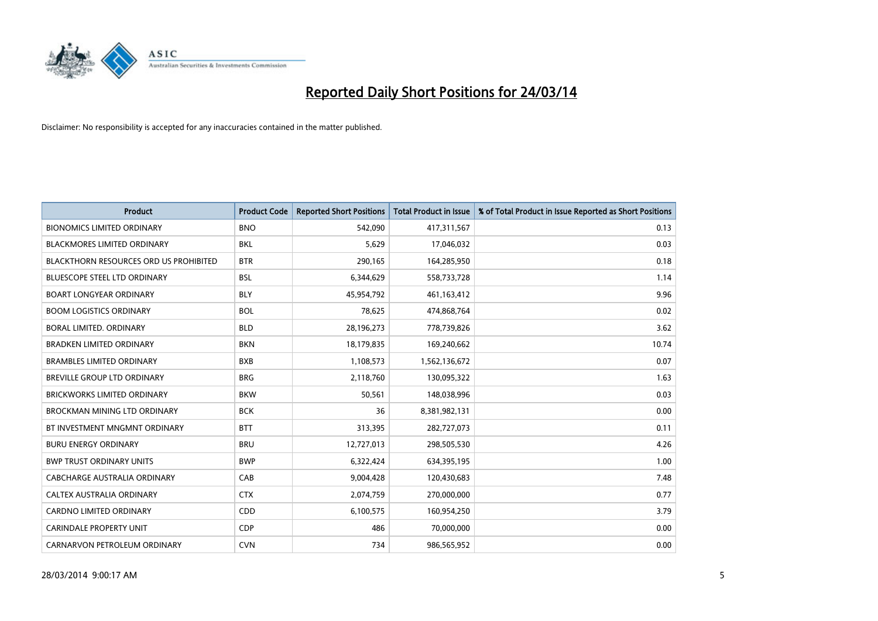

| <b>Product</b>                                | <b>Product Code</b> | <b>Reported Short Positions</b> | <b>Total Product in Issue</b> | % of Total Product in Issue Reported as Short Positions |
|-----------------------------------------------|---------------------|---------------------------------|-------------------------------|---------------------------------------------------------|
| <b>BIONOMICS LIMITED ORDINARY</b>             | <b>BNO</b>          | 542.090                         | 417,311,567                   | 0.13                                                    |
| BLACKMORES LIMITED ORDINARY                   | BKL                 | 5,629                           | 17,046,032                    | 0.03                                                    |
| <b>BLACKTHORN RESOURCES ORD US PROHIBITED</b> | <b>BTR</b>          | 290,165                         | 164,285,950                   | 0.18                                                    |
| <b>BLUESCOPE STEEL LTD ORDINARY</b>           | <b>BSL</b>          | 6,344,629                       | 558,733,728                   | 1.14                                                    |
| <b>BOART LONGYEAR ORDINARY</b>                | <b>BLY</b>          | 45,954,792                      | 461,163,412                   | 9.96                                                    |
| <b>BOOM LOGISTICS ORDINARY</b>                | <b>BOL</b>          | 78,625                          | 474,868,764                   | 0.02                                                    |
| <b>BORAL LIMITED, ORDINARY</b>                | <b>BLD</b>          | 28,196,273                      | 778,739,826                   | 3.62                                                    |
| <b>BRADKEN LIMITED ORDINARY</b>               | <b>BKN</b>          | 18,179,835                      | 169,240,662                   | 10.74                                                   |
| <b>BRAMBLES LIMITED ORDINARY</b>              | <b>BXB</b>          | 1,108,573                       | 1,562,136,672                 | 0.07                                                    |
| <b>BREVILLE GROUP LTD ORDINARY</b>            | <b>BRG</b>          | 2,118,760                       | 130,095,322                   | 1.63                                                    |
| BRICKWORKS LIMITED ORDINARY                   | <b>BKW</b>          | 50,561                          | 148,038,996                   | 0.03                                                    |
| BROCKMAN MINING LTD ORDINARY                  | <b>BCK</b>          | 36                              | 8,381,982,131                 | 0.00                                                    |
| BT INVESTMENT MNGMNT ORDINARY                 | <b>BTT</b>          | 313,395                         | 282,727,073                   | 0.11                                                    |
| <b>BURU ENERGY ORDINARY</b>                   | <b>BRU</b>          | 12,727,013                      | 298,505,530                   | 4.26                                                    |
| <b>BWP TRUST ORDINARY UNITS</b>               | <b>BWP</b>          | 6,322,424                       | 634,395,195                   | 1.00                                                    |
| CABCHARGE AUSTRALIA ORDINARY                  | CAB                 | 9,004,428                       | 120,430,683                   | 7.48                                                    |
| CALTEX AUSTRALIA ORDINARY                     | <b>CTX</b>          | 2,074,759                       | 270,000,000                   | 0.77                                                    |
| <b>CARDNO LIMITED ORDINARY</b>                | CDD                 | 6,100,575                       | 160,954,250                   | 3.79                                                    |
| <b>CARINDALE PROPERTY UNIT</b>                | <b>CDP</b>          | 486                             | 70,000,000                    | 0.00                                                    |
| CARNARVON PETROLEUM ORDINARY                  | <b>CVN</b>          | 734                             | 986,565,952                   | 0.00                                                    |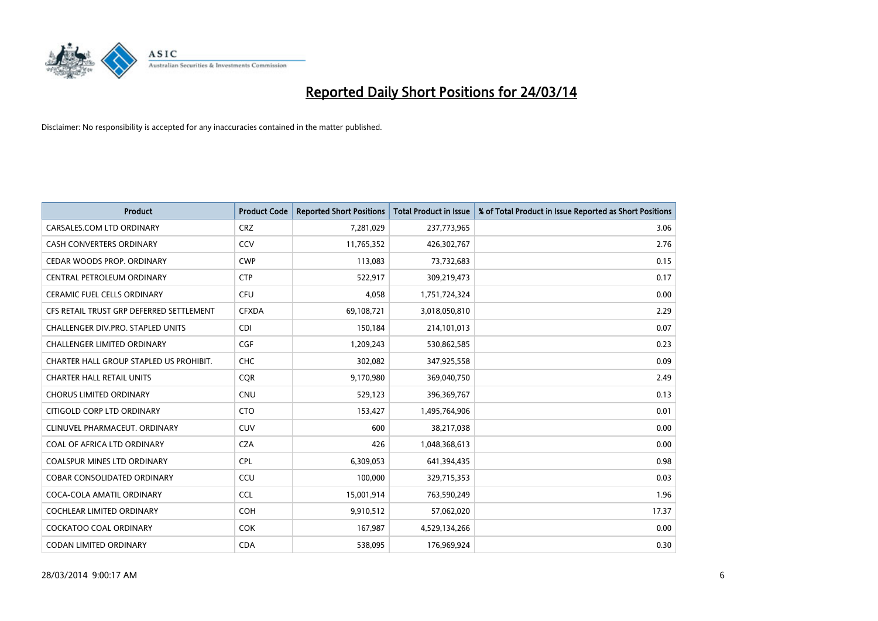

| <b>Product</b>                           | <b>Product Code</b> | <b>Reported Short Positions</b> | <b>Total Product in Issue</b> | % of Total Product in Issue Reported as Short Positions |
|------------------------------------------|---------------------|---------------------------------|-------------------------------|---------------------------------------------------------|
| CARSALES.COM LTD ORDINARY                | <b>CRZ</b>          | 7,281,029                       | 237,773,965                   | 3.06                                                    |
| <b>CASH CONVERTERS ORDINARY</b>          | CCV                 | 11,765,352                      | 426,302,767                   | 2.76                                                    |
| CEDAR WOODS PROP. ORDINARY               | <b>CWP</b>          | 113,083                         | 73,732,683                    | 0.15                                                    |
| CENTRAL PETROLEUM ORDINARY               | <b>CTP</b>          | 522,917                         | 309,219,473                   | 0.17                                                    |
| <b>CERAMIC FUEL CELLS ORDINARY</b>       | <b>CFU</b>          | 4,058                           | 1,751,724,324                 | 0.00                                                    |
| CFS RETAIL TRUST GRP DEFERRED SETTLEMENT | <b>CFXDA</b>        | 69,108,721                      | 3,018,050,810                 | 2.29                                                    |
| CHALLENGER DIV.PRO. STAPLED UNITS        | <b>CDI</b>          | 150,184                         | 214,101,013                   | 0.07                                                    |
| CHALLENGER LIMITED ORDINARY              | <b>CGF</b>          | 1,209,243                       | 530,862,585                   | 0.23                                                    |
| CHARTER HALL GROUP STAPLED US PROHIBIT.  | <b>CHC</b>          | 302,082                         | 347,925,558                   | 0.09                                                    |
| <b>CHARTER HALL RETAIL UNITS</b>         | <b>CQR</b>          | 9,170,980                       | 369,040,750                   | 2.49                                                    |
| <b>CHORUS LIMITED ORDINARY</b>           | <b>CNU</b>          | 529,123                         | 396,369,767                   | 0.13                                                    |
| CITIGOLD CORP LTD ORDINARY               | <b>CTO</b>          | 153,427                         | 1,495,764,906                 | 0.01                                                    |
| CLINUVEL PHARMACEUT, ORDINARY            | <b>CUV</b>          | 600                             | 38,217,038                    | 0.00                                                    |
| COAL OF AFRICA LTD ORDINARY              | <b>CZA</b>          | 426                             | 1,048,368,613                 | 0.00                                                    |
| <b>COALSPUR MINES LTD ORDINARY</b>       | <b>CPL</b>          | 6,309,053                       | 641,394,435                   | 0.98                                                    |
| COBAR CONSOLIDATED ORDINARY              | CCU                 | 100,000                         | 329,715,353                   | 0.03                                                    |
| COCA-COLA AMATIL ORDINARY                | <b>CCL</b>          | 15,001,914                      | 763,590,249                   | 1.96                                                    |
| COCHLEAR LIMITED ORDINARY                | <b>COH</b>          | 9,910,512                       | 57,062,020                    | 17.37                                                   |
| <b>COCKATOO COAL ORDINARY</b>            | <b>COK</b>          | 167,987                         | 4,529,134,266                 | 0.00                                                    |
| <b>CODAN LIMITED ORDINARY</b>            | <b>CDA</b>          | 538,095                         | 176,969,924                   | 0.30                                                    |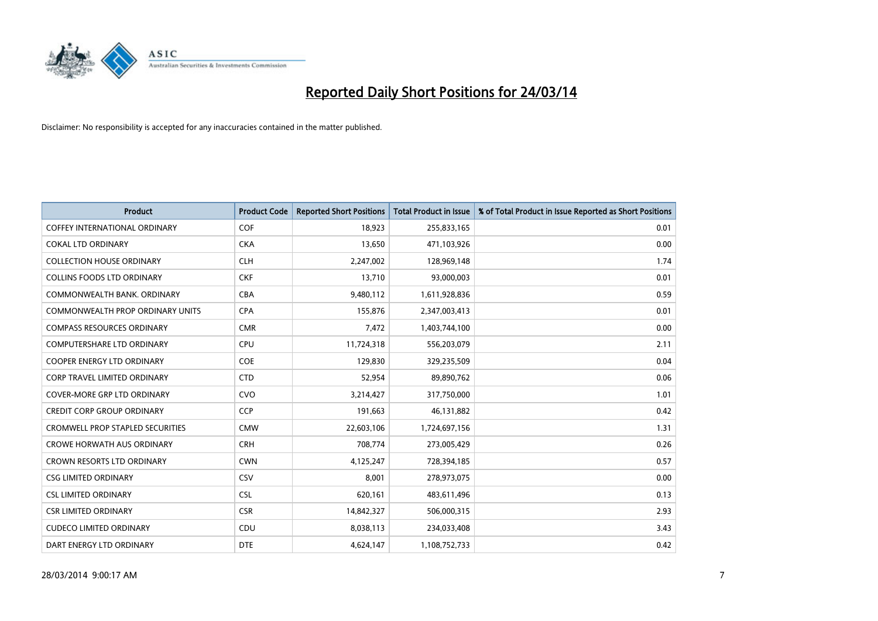

| Product                                 | <b>Product Code</b> | <b>Reported Short Positions</b> | <b>Total Product in Issue</b> | % of Total Product in Issue Reported as Short Positions |
|-----------------------------------------|---------------------|---------------------------------|-------------------------------|---------------------------------------------------------|
| <b>COFFEY INTERNATIONAL ORDINARY</b>    | COF                 | 18,923                          | 255,833,165                   | 0.01                                                    |
| <b>COKAL LTD ORDINARY</b>               | <b>CKA</b>          | 13,650                          | 471,103,926                   | 0.00                                                    |
| <b>COLLECTION HOUSE ORDINARY</b>        | <b>CLH</b>          | 2,247,002                       | 128,969,148                   | 1.74                                                    |
| <b>COLLINS FOODS LTD ORDINARY</b>       | <b>CKF</b>          | 13,710                          | 93,000,003                    | 0.01                                                    |
| COMMONWEALTH BANK, ORDINARY             | <b>CBA</b>          | 9,480,112                       | 1,611,928,836                 | 0.59                                                    |
| <b>COMMONWEALTH PROP ORDINARY UNITS</b> | <b>CPA</b>          | 155,876                         | 2,347,003,413                 | 0.01                                                    |
| <b>COMPASS RESOURCES ORDINARY</b>       | <b>CMR</b>          | 7,472                           | 1,403,744,100                 | 0.00                                                    |
| <b>COMPUTERSHARE LTD ORDINARY</b>       | <b>CPU</b>          | 11,724,318                      | 556,203,079                   | 2.11                                                    |
| <b>COOPER ENERGY LTD ORDINARY</b>       | <b>COE</b>          | 129,830                         | 329,235,509                   | 0.04                                                    |
| <b>CORP TRAVEL LIMITED ORDINARY</b>     | <b>CTD</b>          | 52,954                          | 89,890,762                    | 0.06                                                    |
| COVER-MORE GRP LTD ORDINARY             | <b>CVO</b>          | 3,214,427                       | 317,750,000                   | 1.01                                                    |
| <b>CREDIT CORP GROUP ORDINARY</b>       | <b>CCP</b>          | 191,663                         | 46,131,882                    | 0.42                                                    |
| <b>CROMWELL PROP STAPLED SECURITIES</b> | <b>CMW</b>          | 22,603,106                      | 1,724,697,156                 | 1.31                                                    |
| <b>CROWE HORWATH AUS ORDINARY</b>       | <b>CRH</b>          | 708,774                         | 273,005,429                   | 0.26                                                    |
| <b>CROWN RESORTS LTD ORDINARY</b>       | <b>CWN</b>          | 4,125,247                       | 728,394,185                   | 0.57                                                    |
| <b>CSG LIMITED ORDINARY</b>             | CSV                 | 8,001                           | 278,973,075                   | 0.00                                                    |
| <b>CSL LIMITED ORDINARY</b>             | <b>CSL</b>          | 620,161                         | 483,611,496                   | 0.13                                                    |
| <b>CSR LIMITED ORDINARY</b>             | <b>CSR</b>          | 14,842,327                      | 506,000,315                   | 2.93                                                    |
| <b>CUDECO LIMITED ORDINARY</b>          | CDU                 | 8,038,113                       | 234,033,408                   | 3.43                                                    |
| DART ENERGY LTD ORDINARY                | <b>DTE</b>          | 4,624,147                       | 1,108,752,733                 | 0.42                                                    |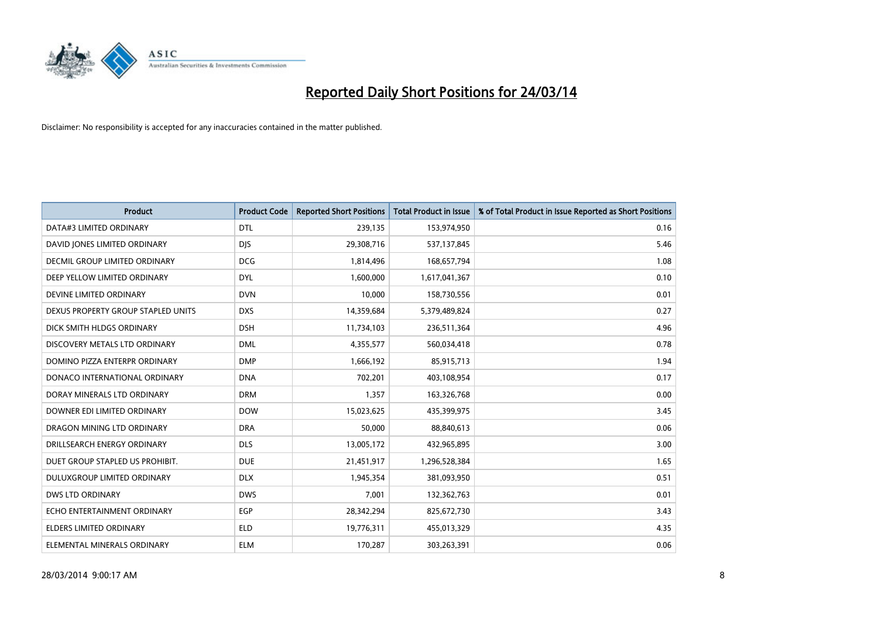

| <b>Product</b>                     | <b>Product Code</b> | <b>Reported Short Positions</b> | <b>Total Product in Issue</b> | % of Total Product in Issue Reported as Short Positions |
|------------------------------------|---------------------|---------------------------------|-------------------------------|---------------------------------------------------------|
| DATA#3 LIMITED ORDINARY            | <b>DTL</b>          | 239,135                         | 153,974,950                   | 0.16                                                    |
| DAVID JONES LIMITED ORDINARY       | <b>DIS</b>          | 29,308,716                      | 537,137,845                   | 5.46                                                    |
| DECMIL GROUP LIMITED ORDINARY      | <b>DCG</b>          | 1,814,496                       | 168,657,794                   | 1.08                                                    |
| DEEP YELLOW LIMITED ORDINARY       | <b>DYL</b>          | 1,600,000                       | 1,617,041,367                 | 0.10                                                    |
| DEVINE LIMITED ORDINARY            | <b>DVN</b>          | 10,000                          | 158,730,556                   | 0.01                                                    |
| DEXUS PROPERTY GROUP STAPLED UNITS | <b>DXS</b>          | 14,359,684                      | 5,379,489,824                 | 0.27                                                    |
| DICK SMITH HLDGS ORDINARY          | <b>DSH</b>          | 11,734,103                      | 236,511,364                   | 4.96                                                    |
| DISCOVERY METALS LTD ORDINARY      | <b>DML</b>          | 4,355,577                       | 560,034,418                   | 0.78                                                    |
| DOMINO PIZZA ENTERPR ORDINARY      | <b>DMP</b>          | 1,666,192                       | 85,915,713                    | 1.94                                                    |
| DONACO INTERNATIONAL ORDINARY      | <b>DNA</b>          | 702,201                         | 403,108,954                   | 0.17                                                    |
| DORAY MINERALS LTD ORDINARY        | <b>DRM</b>          | 1,357                           | 163,326,768                   | 0.00                                                    |
| DOWNER EDI LIMITED ORDINARY        | <b>DOW</b>          | 15,023,625                      | 435,399,975                   | 3.45                                                    |
| DRAGON MINING LTD ORDINARY         | <b>DRA</b>          | 50,000                          | 88,840,613                    | 0.06                                                    |
| DRILLSEARCH ENERGY ORDINARY        | <b>DLS</b>          | 13,005,172                      | 432,965,895                   | 3.00                                                    |
| DUET GROUP STAPLED US PROHIBIT.    | <b>DUE</b>          | 21,451,917                      | 1,296,528,384                 | 1.65                                                    |
| DULUXGROUP LIMITED ORDINARY        | <b>DLX</b>          | 1,945,354                       | 381,093,950                   | 0.51                                                    |
| <b>DWS LTD ORDINARY</b>            | <b>DWS</b>          | 7,001                           | 132,362,763                   | 0.01                                                    |
| ECHO ENTERTAINMENT ORDINARY        | <b>EGP</b>          | 28,342,294                      | 825,672,730                   | 3.43                                                    |
| <b>ELDERS LIMITED ORDINARY</b>     | <b>ELD</b>          | 19,776,311                      | 455,013,329                   | 4.35                                                    |
| ELEMENTAL MINERALS ORDINARY        | <b>ELM</b>          | 170,287                         | 303,263,391                   | 0.06                                                    |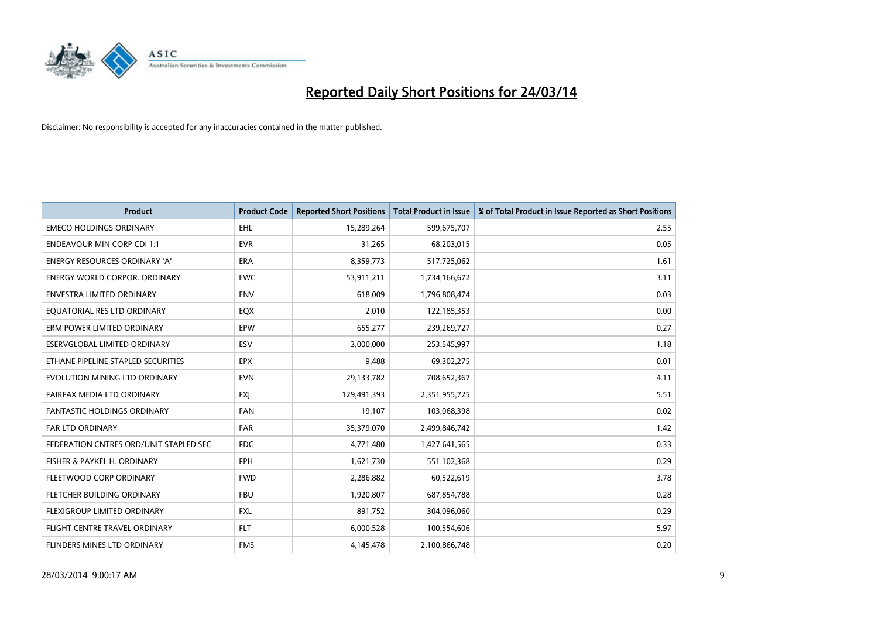

| <b>Product</b>                         | <b>Product Code</b> | <b>Reported Short Positions</b> | <b>Total Product in Issue</b> | % of Total Product in Issue Reported as Short Positions |
|----------------------------------------|---------------------|---------------------------------|-------------------------------|---------------------------------------------------------|
| <b>EMECO HOLDINGS ORDINARY</b>         | <b>EHL</b>          | 15,289,264                      | 599,675,707                   | 2.55                                                    |
| <b>ENDEAVOUR MIN CORP CDI 1:1</b>      | <b>EVR</b>          | 31,265                          | 68,203,015                    | 0.05                                                    |
| <b>ENERGY RESOURCES ORDINARY 'A'</b>   | <b>ERA</b>          | 8,359,773                       | 517,725,062                   | 1.61                                                    |
| ENERGY WORLD CORPOR. ORDINARY          | <b>EWC</b>          | 53,911,211                      | 1,734,166,672                 | 3.11                                                    |
| <b>ENVESTRA LIMITED ORDINARY</b>       | <b>ENV</b>          | 618,009                         | 1,796,808,474                 | 0.03                                                    |
| EQUATORIAL RES LTD ORDINARY            | EQX                 | 2,010                           | 122,185,353                   | 0.00                                                    |
| ERM POWER LIMITED ORDINARY             | <b>EPW</b>          | 655,277                         | 239,269,727                   | 0.27                                                    |
| ESERVGLOBAL LIMITED ORDINARY           | ESV                 | 3,000,000                       | 253,545,997                   | 1.18                                                    |
| ETHANE PIPELINE STAPLED SECURITIES     | <b>EPX</b>          | 9,488                           | 69,302,275                    | 0.01                                                    |
| EVOLUTION MINING LTD ORDINARY          | <b>EVN</b>          | 29,133,782                      | 708,652,367                   | 4.11                                                    |
| FAIRFAX MEDIA LTD ORDINARY             | <b>FXI</b>          | 129,491,393                     | 2,351,955,725                 | 5.51                                                    |
| <b>FANTASTIC HOLDINGS ORDINARY</b>     | FAN                 | 19,107                          | 103,068,398                   | 0.02                                                    |
| FAR LTD ORDINARY                       | FAR                 | 35,379,070                      | 2,499,846,742                 | 1.42                                                    |
| FEDERATION CNTRES ORD/UNIT STAPLED SEC | <b>FDC</b>          | 4,771,480                       | 1,427,641,565                 | 0.33                                                    |
| FISHER & PAYKEL H. ORDINARY            | <b>FPH</b>          | 1,621,730                       | 551,102,368                   | 0.29                                                    |
| FLEETWOOD CORP ORDINARY                | <b>FWD</b>          | 2,286,882                       | 60,522,619                    | 3.78                                                    |
| FLETCHER BUILDING ORDINARY             | <b>FBU</b>          | 1,920,807                       | 687,854,788                   | 0.28                                                    |
| FLEXIGROUP LIMITED ORDINARY            | <b>FXL</b>          | 891,752                         | 304,096,060                   | 0.29                                                    |
| FLIGHT CENTRE TRAVEL ORDINARY          | <b>FLT</b>          | 6,000,528                       | 100,554,606                   | 5.97                                                    |
| FLINDERS MINES LTD ORDINARY            | <b>FMS</b>          | 4,145,478                       | 2,100,866,748                 | 0.20                                                    |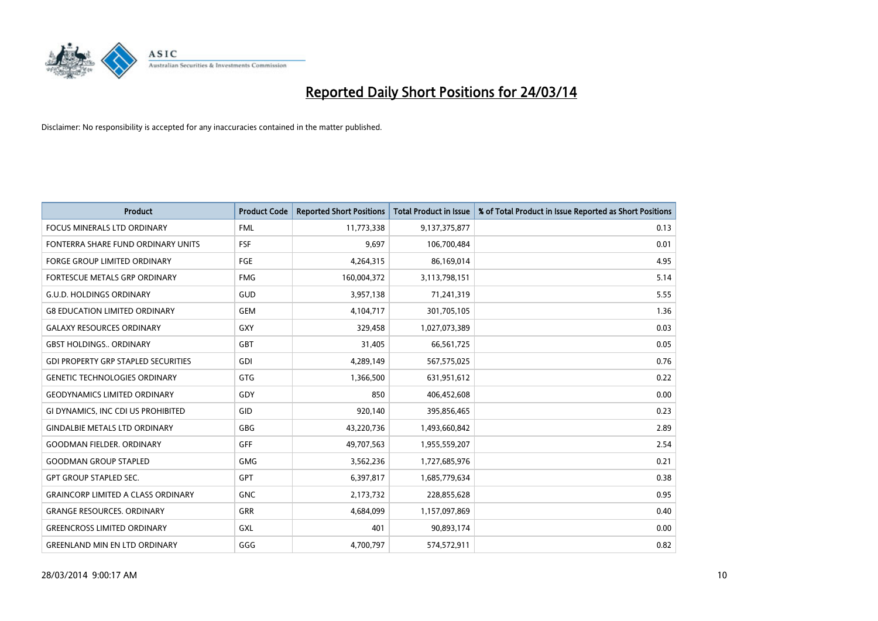

| <b>Product</b>                             | <b>Product Code</b> | <b>Reported Short Positions</b> | <b>Total Product in Issue</b> | % of Total Product in Issue Reported as Short Positions |
|--------------------------------------------|---------------------|---------------------------------|-------------------------------|---------------------------------------------------------|
| <b>FOCUS MINERALS LTD ORDINARY</b>         | <b>FML</b>          | 11,773,338                      | 9,137,375,877                 | 0.13                                                    |
| FONTERRA SHARE FUND ORDINARY UNITS         | <b>FSF</b>          | 9,697                           | 106,700,484                   | 0.01                                                    |
| <b>FORGE GROUP LIMITED ORDINARY</b>        | <b>FGE</b>          | 4,264,315                       | 86,169,014                    | 4.95                                                    |
| FORTESCUE METALS GRP ORDINARY              | <b>FMG</b>          | 160,004,372                     | 3,113,798,151                 | 5.14                                                    |
| <b>G.U.D. HOLDINGS ORDINARY</b>            | GUD                 | 3,957,138                       | 71,241,319                    | 5.55                                                    |
| <b>G8 EDUCATION LIMITED ORDINARY</b>       | <b>GEM</b>          | 4,104,717                       | 301,705,105                   | 1.36                                                    |
| <b>GALAXY RESOURCES ORDINARY</b>           | GXY                 | 329,458                         | 1,027,073,389                 | 0.03                                                    |
| <b>GBST HOLDINGS ORDINARY</b>              | <b>GBT</b>          | 31,405                          | 66,561,725                    | 0.05                                                    |
| <b>GDI PROPERTY GRP STAPLED SECURITIES</b> | GDI                 | 4,289,149                       | 567,575,025                   | 0.76                                                    |
| <b>GENETIC TECHNOLOGIES ORDINARY</b>       | <b>GTG</b>          | 1,366,500                       | 631,951,612                   | 0.22                                                    |
| <b>GEODYNAMICS LIMITED ORDINARY</b>        | GDY                 | 850                             | 406,452,608                   | 0.00                                                    |
| GI DYNAMICS, INC CDI US PROHIBITED         | GID                 | 920,140                         | 395,856,465                   | 0.23                                                    |
| <b>GINDALBIE METALS LTD ORDINARY</b>       | GBG                 | 43,220,736                      | 1,493,660,842                 | 2.89                                                    |
| <b>GOODMAN FIELDER, ORDINARY</b>           | <b>GFF</b>          | 49,707,563                      | 1,955,559,207                 | 2.54                                                    |
| <b>GOODMAN GROUP STAPLED</b>               | <b>GMG</b>          | 3,562,236                       | 1,727,685,976                 | 0.21                                                    |
| <b>GPT GROUP STAPLED SEC.</b>              | GPT                 | 6,397,817                       | 1,685,779,634                 | 0.38                                                    |
| <b>GRAINCORP LIMITED A CLASS ORDINARY</b>  | <b>GNC</b>          | 2,173,732                       | 228,855,628                   | 0.95                                                    |
| <b>GRANGE RESOURCES, ORDINARY</b>          | GRR                 | 4,684,099                       | 1,157,097,869                 | 0.40                                                    |
| <b>GREENCROSS LIMITED ORDINARY</b>         | <b>GXL</b>          | 401                             | 90,893,174                    | 0.00                                                    |
| <b>GREENLAND MIN EN LTD ORDINARY</b>       | GGG                 | 4,700,797                       | 574,572,911                   | 0.82                                                    |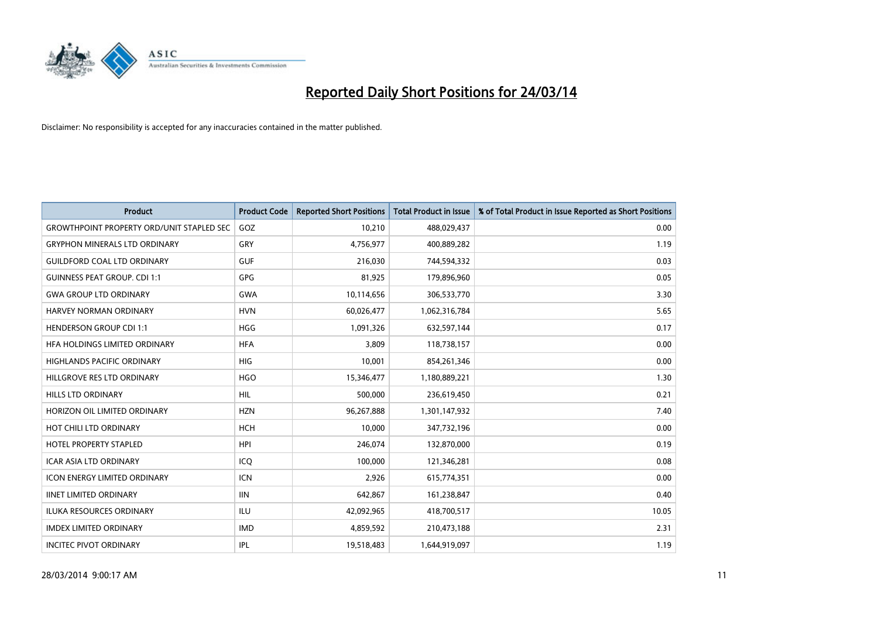

| <b>Product</b>                                   | <b>Product Code</b> | <b>Reported Short Positions</b> | <b>Total Product in Issue</b> | % of Total Product in Issue Reported as Short Positions |
|--------------------------------------------------|---------------------|---------------------------------|-------------------------------|---------------------------------------------------------|
| <b>GROWTHPOINT PROPERTY ORD/UNIT STAPLED SEC</b> | GOZ                 | 10,210                          | 488,029,437                   | 0.00                                                    |
| <b>GRYPHON MINERALS LTD ORDINARY</b>             | GRY                 | 4,756,977                       | 400,889,282                   | 1.19                                                    |
| <b>GUILDFORD COAL LTD ORDINARY</b>               | <b>GUF</b>          | 216,030                         | 744,594,332                   | 0.03                                                    |
| <b>GUINNESS PEAT GROUP. CDI 1:1</b>              | GPG                 | 81,925                          | 179,896,960                   | 0.05                                                    |
| <b>GWA GROUP LTD ORDINARY</b>                    | <b>GWA</b>          | 10,114,656                      | 306,533,770                   | 3.30                                                    |
| <b>HARVEY NORMAN ORDINARY</b>                    | <b>HVN</b>          | 60,026,477                      | 1,062,316,784                 | 5.65                                                    |
| <b>HENDERSON GROUP CDI 1:1</b>                   | <b>HGG</b>          | 1,091,326                       | 632,597,144                   | 0.17                                                    |
| <b>HFA HOLDINGS LIMITED ORDINARY</b>             | <b>HFA</b>          | 3,809                           | 118,738,157                   | 0.00                                                    |
| HIGHLANDS PACIFIC ORDINARY                       | HIG                 | 10,001                          | 854,261,346                   | 0.00                                                    |
| HILLGROVE RES LTD ORDINARY                       | <b>HGO</b>          | 15,346,477                      | 1,180,889,221                 | 1.30                                                    |
| HILLS LTD ORDINARY                               | <b>HIL</b>          | 500,000                         | 236,619,450                   | 0.21                                                    |
| HORIZON OIL LIMITED ORDINARY                     | <b>HZN</b>          | 96,267,888                      | 1,301,147,932                 | 7.40                                                    |
| HOT CHILI LTD ORDINARY                           | <b>HCH</b>          | 10,000                          | 347,732,196                   | 0.00                                                    |
| <b>HOTEL PROPERTY STAPLED</b>                    | <b>HPI</b>          | 246,074                         | 132,870,000                   | 0.19                                                    |
| <b>ICAR ASIA LTD ORDINARY</b>                    | ICQ                 | 100,000                         | 121,346,281                   | 0.08                                                    |
| <b>ICON ENERGY LIMITED ORDINARY</b>              | <b>ICN</b>          | 2,926                           | 615,774,351                   | 0.00                                                    |
| <b>IINET LIMITED ORDINARY</b>                    | <b>IIN</b>          | 642,867                         | 161,238,847                   | 0.40                                                    |
| ILUKA RESOURCES ORDINARY                         | ILU                 | 42,092,965                      | 418,700,517                   | 10.05                                                   |
| <b>IMDEX LIMITED ORDINARY</b>                    | <b>IMD</b>          | 4,859,592                       | 210,473,188                   | 2.31                                                    |
| <b>INCITEC PIVOT ORDINARY</b>                    | IPL                 | 19,518,483                      | 1,644,919,097                 | 1.19                                                    |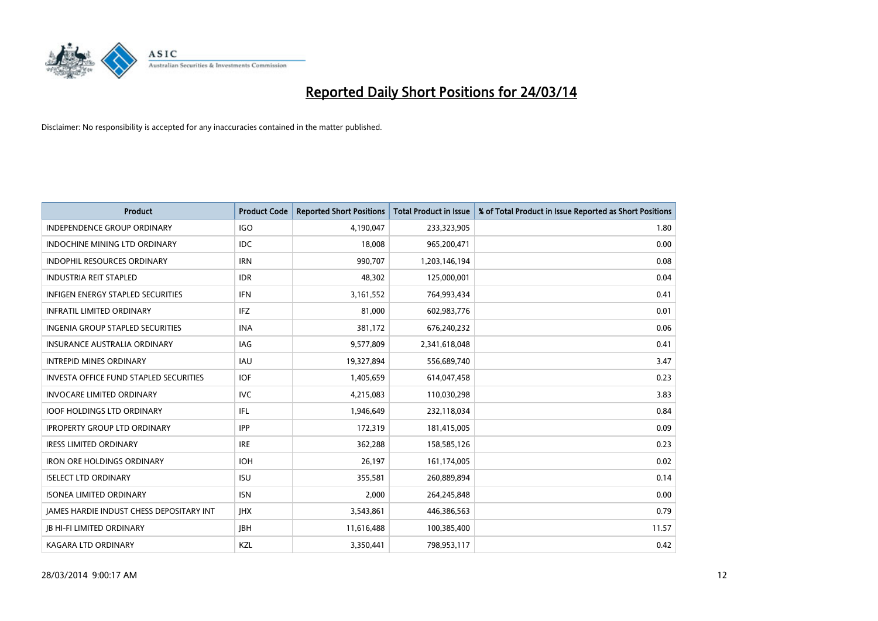

| <b>Product</b>                                  | <b>Product Code</b> | <b>Reported Short Positions</b> | <b>Total Product in Issue</b> | % of Total Product in Issue Reported as Short Positions |
|-------------------------------------------------|---------------------|---------------------------------|-------------------------------|---------------------------------------------------------|
| <b>INDEPENDENCE GROUP ORDINARY</b>              | <b>IGO</b>          | 4,190,047                       | 233,323,905                   | 1.80                                                    |
| <b>INDOCHINE MINING LTD ORDINARY</b>            | <b>IDC</b>          | 18,008                          | 965,200,471                   | 0.00                                                    |
| <b>INDOPHIL RESOURCES ORDINARY</b>              | <b>IRN</b>          | 990,707                         | 1,203,146,194                 | 0.08                                                    |
| <b>INDUSTRIA REIT STAPLED</b>                   | <b>IDR</b>          | 48,302                          | 125,000,001                   | 0.04                                                    |
| <b>INFIGEN ENERGY STAPLED SECURITIES</b>        | <b>IFN</b>          | 3,161,552                       | 764,993,434                   | 0.41                                                    |
| <b>INFRATIL LIMITED ORDINARY</b>                | <b>IFZ</b>          | 81,000                          | 602,983,776                   | 0.01                                                    |
| <b>INGENIA GROUP STAPLED SECURITIES</b>         | <b>INA</b>          | 381,172                         | 676,240,232                   | 0.06                                                    |
| <b>INSURANCE AUSTRALIA ORDINARY</b>             | IAG                 | 9,577,809                       | 2,341,618,048                 | 0.41                                                    |
| <b>INTREPID MINES ORDINARY</b>                  | <b>IAU</b>          | 19,327,894                      | 556,689,740                   | 3.47                                                    |
| <b>INVESTA OFFICE FUND STAPLED SECURITIES</b>   | <b>IOF</b>          | 1,405,659                       | 614,047,458                   | 0.23                                                    |
| <b>INVOCARE LIMITED ORDINARY</b>                | IVC                 | 4,215,083                       | 110,030,298                   | 3.83                                                    |
| <b>IOOF HOLDINGS LTD ORDINARY</b>               | IFL                 | 1,946,649                       | 232,118,034                   | 0.84                                                    |
| <b>IPROPERTY GROUP LTD ORDINARY</b>             | <b>IPP</b>          | 172,319                         | 181,415,005                   | 0.09                                                    |
| <b>IRESS LIMITED ORDINARY</b>                   | <b>IRE</b>          | 362,288                         | 158,585,126                   | 0.23                                                    |
| <b>IRON ORE HOLDINGS ORDINARY</b>               | <b>IOH</b>          | 26,197                          | 161,174,005                   | 0.02                                                    |
| <b>ISELECT LTD ORDINARY</b>                     | <b>ISU</b>          | 355,581                         | 260,889,894                   | 0.14                                                    |
| <b>ISONEA LIMITED ORDINARY</b>                  | <b>ISN</b>          | 2,000                           | 264,245,848                   | 0.00                                                    |
| <b>JAMES HARDIE INDUST CHESS DEPOSITARY INT</b> | <b>JHX</b>          | 3,543,861                       | 446,386,563                   | 0.79                                                    |
| <b>JB HI-FI LIMITED ORDINARY</b>                | <b>JBH</b>          | 11,616,488                      | 100,385,400                   | 11.57                                                   |
| KAGARA LTD ORDINARY                             | KZL                 | 3,350,441                       | 798,953,117                   | 0.42                                                    |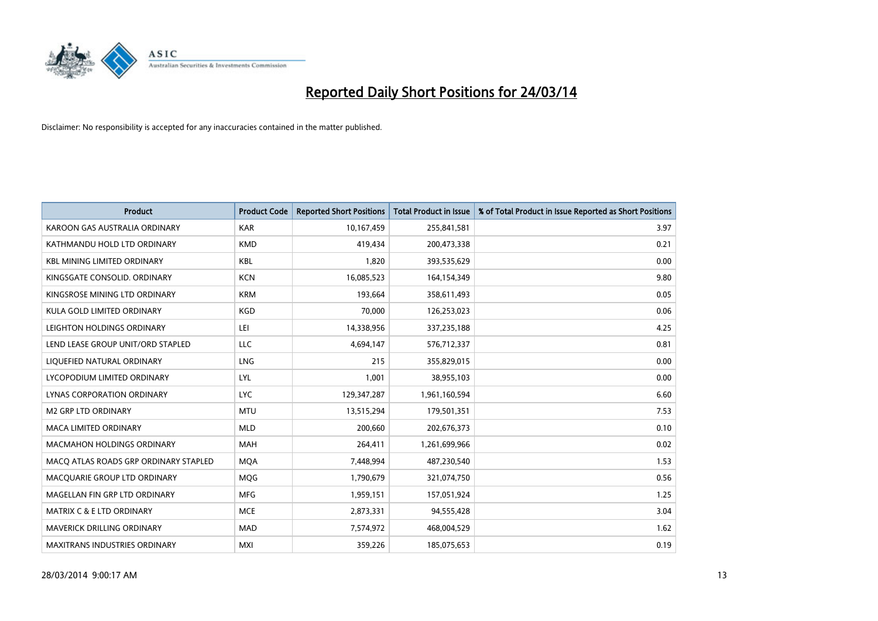

| <b>Product</b>                        | <b>Product Code</b> | <b>Reported Short Positions</b> | <b>Total Product in Issue</b> | % of Total Product in Issue Reported as Short Positions |
|---------------------------------------|---------------------|---------------------------------|-------------------------------|---------------------------------------------------------|
| KAROON GAS AUSTRALIA ORDINARY         | <b>KAR</b>          | 10,167,459                      | 255,841,581                   | 3.97                                                    |
| KATHMANDU HOLD LTD ORDINARY           | <b>KMD</b>          | 419,434                         | 200,473,338                   | 0.21                                                    |
| <b>KBL MINING LIMITED ORDINARY</b>    | <b>KBL</b>          | 1,820                           | 393,535,629                   | 0.00                                                    |
| KINGSGATE CONSOLID. ORDINARY          | <b>KCN</b>          | 16,085,523                      | 164,154,349                   | 9.80                                                    |
| KINGSROSE MINING LTD ORDINARY         | <b>KRM</b>          | 193,664                         | 358,611,493                   | 0.05                                                    |
| KULA GOLD LIMITED ORDINARY            | <b>KGD</b>          | 70,000                          | 126,253,023                   | 0.06                                                    |
| LEIGHTON HOLDINGS ORDINARY            | LEI                 | 14,338,956                      | 337,235,188                   | 4.25                                                    |
| LEND LEASE GROUP UNIT/ORD STAPLED     | LLC                 | 4,694,147                       | 576,712,337                   | 0.81                                                    |
| LIQUEFIED NATURAL ORDINARY            | LNG                 | 215                             | 355,829,015                   | 0.00                                                    |
| LYCOPODIUM LIMITED ORDINARY           | <b>LYL</b>          | 1,001                           | 38,955,103                    | 0.00                                                    |
| LYNAS CORPORATION ORDINARY            | <b>LYC</b>          | 129,347,287                     | 1,961,160,594                 | 6.60                                                    |
| <b>M2 GRP LTD ORDINARY</b>            | <b>MTU</b>          | 13,515,294                      | 179,501,351                   | 7.53                                                    |
| <b>MACA LIMITED ORDINARY</b>          | <b>MLD</b>          | 200,660                         | 202,676,373                   | 0.10                                                    |
| <b>MACMAHON HOLDINGS ORDINARY</b>     | MAH                 | 264,411                         | 1,261,699,966                 | 0.02                                                    |
| MACO ATLAS ROADS GRP ORDINARY STAPLED | <b>MQA</b>          | 7,448,994                       | 487,230,540                   | 1.53                                                    |
| MACQUARIE GROUP LTD ORDINARY          | <b>MOG</b>          | 1,790,679                       | 321,074,750                   | 0.56                                                    |
| MAGELLAN FIN GRP LTD ORDINARY         | <b>MFG</b>          | 1,959,151                       | 157,051,924                   | 1.25                                                    |
| <b>MATRIX C &amp; E LTD ORDINARY</b>  | <b>MCE</b>          | 2,873,331                       | 94,555,428                    | 3.04                                                    |
| MAVERICK DRILLING ORDINARY            | <b>MAD</b>          | 7,574,972                       | 468,004,529                   | 1.62                                                    |
| <b>MAXITRANS INDUSTRIES ORDINARY</b>  | <b>MXI</b>          | 359,226                         | 185,075,653                   | 0.19                                                    |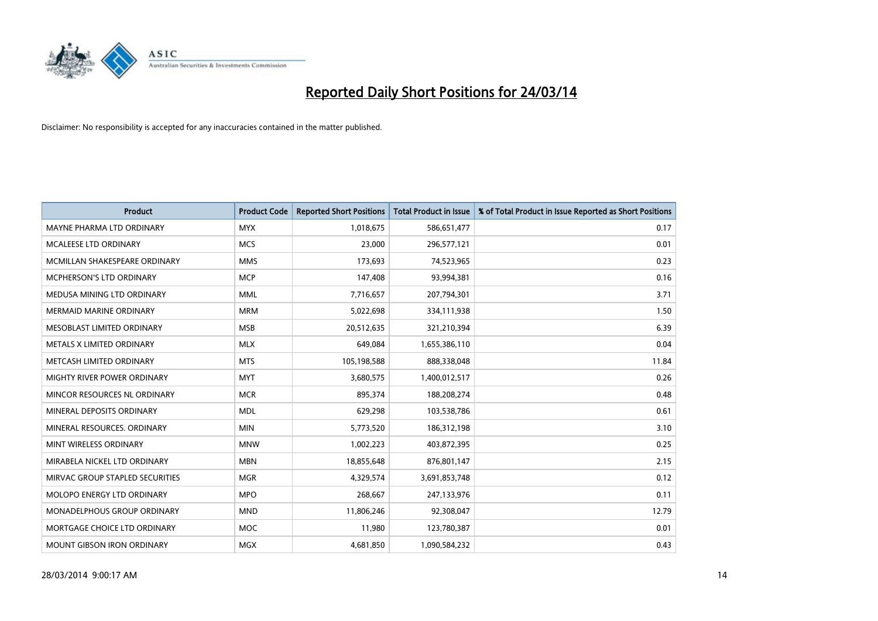

| <b>Product</b>                  | <b>Product Code</b> | <b>Reported Short Positions</b> | <b>Total Product in Issue</b> | % of Total Product in Issue Reported as Short Positions |
|---------------------------------|---------------------|---------------------------------|-------------------------------|---------------------------------------------------------|
| MAYNE PHARMA LTD ORDINARY       | <b>MYX</b>          | 1,018,675                       | 586,651,477                   | 0.17                                                    |
| MCALEESE LTD ORDINARY           | <b>MCS</b>          | 23,000                          | 296,577,121                   | 0.01                                                    |
| MCMILLAN SHAKESPEARE ORDINARY   | <b>MMS</b>          | 173,693                         | 74,523,965                    | 0.23                                                    |
| MCPHERSON'S LTD ORDINARY        | <b>MCP</b>          | 147,408                         | 93,994,381                    | 0.16                                                    |
| MEDUSA MINING LTD ORDINARY      | <b>MML</b>          | 7,716,657                       | 207,794,301                   | 3.71                                                    |
| <b>MERMAID MARINE ORDINARY</b>  | <b>MRM</b>          | 5,022,698                       | 334,111,938                   | 1.50                                                    |
| MESOBLAST LIMITED ORDINARY      | <b>MSB</b>          | 20,512,635                      | 321,210,394                   | 6.39                                                    |
| METALS X LIMITED ORDINARY       | <b>MLX</b>          | 649,084                         | 1,655,386,110                 | 0.04                                                    |
| METCASH LIMITED ORDINARY        | <b>MTS</b>          | 105,198,588                     | 888,338,048                   | 11.84                                                   |
| MIGHTY RIVER POWER ORDINARY     | <b>MYT</b>          | 3,680,575                       | 1,400,012,517                 | 0.26                                                    |
| MINCOR RESOURCES NL ORDINARY    | <b>MCR</b>          | 895,374                         | 188,208,274                   | 0.48                                                    |
| MINERAL DEPOSITS ORDINARY       | <b>MDL</b>          | 629,298                         | 103,538,786                   | 0.61                                                    |
| MINERAL RESOURCES. ORDINARY     | <b>MIN</b>          | 5,773,520                       | 186,312,198                   | 3.10                                                    |
| MINT WIRELESS ORDINARY          | <b>MNW</b>          | 1,002,223                       | 403,872,395                   | 0.25                                                    |
| MIRABELA NICKEL LTD ORDINARY    | <b>MBN</b>          | 18,855,648                      | 876,801,147                   | 2.15                                                    |
| MIRVAC GROUP STAPLED SECURITIES | <b>MGR</b>          | 4,329,574                       | 3,691,853,748                 | 0.12                                                    |
| MOLOPO ENERGY LTD ORDINARY      | <b>MPO</b>          | 268,667                         | 247,133,976                   | 0.11                                                    |
| MONADELPHOUS GROUP ORDINARY     | <b>MND</b>          | 11,806,246                      | 92,308,047                    | 12.79                                                   |
| MORTGAGE CHOICE LTD ORDINARY    | <b>MOC</b>          | 11,980                          | 123,780,387                   | 0.01                                                    |
| MOUNT GIBSON IRON ORDINARY      | <b>MGX</b>          | 4,681,850                       | 1,090,584,232                 | 0.43                                                    |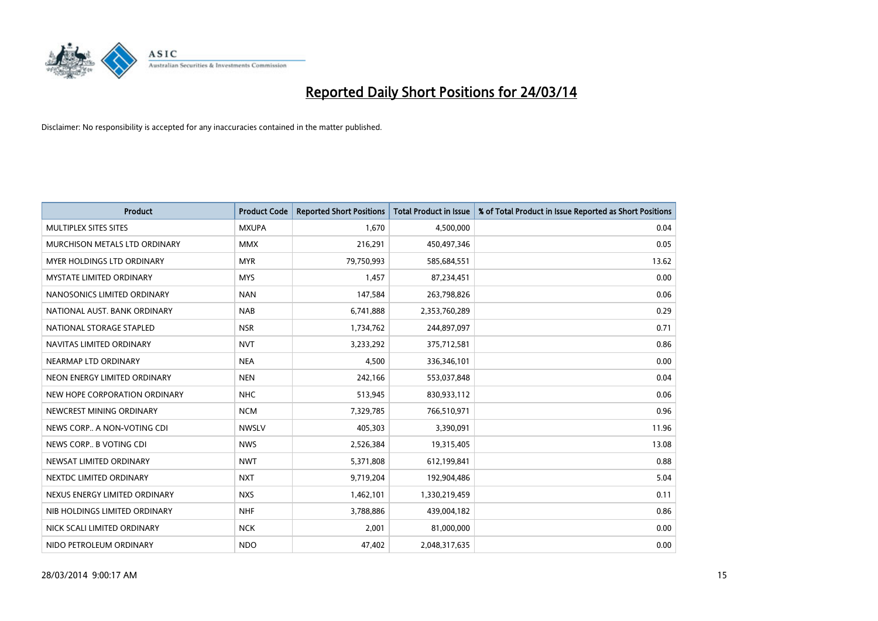

| <b>Product</b>                    | <b>Product Code</b> | <b>Reported Short Positions</b> | <b>Total Product in Issue</b> | % of Total Product in Issue Reported as Short Positions |
|-----------------------------------|---------------------|---------------------------------|-------------------------------|---------------------------------------------------------|
| MULTIPLEX SITES SITES             | <b>MXUPA</b>        | 1,670                           | 4,500,000                     | 0.04                                                    |
| MURCHISON METALS LTD ORDINARY     | <b>MMX</b>          | 216,291                         | 450,497,346                   | 0.05                                                    |
| <b>MYER HOLDINGS LTD ORDINARY</b> | <b>MYR</b>          | 79,750,993                      | 585,684,551                   | 13.62                                                   |
| MYSTATE LIMITED ORDINARY          | <b>MYS</b>          | 1,457                           | 87,234,451                    | 0.00                                                    |
| NANOSONICS LIMITED ORDINARY       | <b>NAN</b>          | 147,584                         | 263,798,826                   | 0.06                                                    |
| NATIONAL AUST, BANK ORDINARY      | <b>NAB</b>          | 6,741,888                       | 2,353,760,289                 | 0.29                                                    |
| NATIONAL STORAGE STAPLED          | <b>NSR</b>          | 1,734,762                       | 244,897,097                   | 0.71                                                    |
| NAVITAS LIMITED ORDINARY          | <b>NVT</b>          | 3,233,292                       | 375,712,581                   | 0.86                                                    |
| NEARMAP LTD ORDINARY              | <b>NEA</b>          | 4,500                           | 336,346,101                   | 0.00                                                    |
| NEON ENERGY LIMITED ORDINARY      | <b>NEN</b>          | 242,166                         | 553,037,848                   | 0.04                                                    |
| NEW HOPE CORPORATION ORDINARY     | <b>NHC</b>          | 513,945                         | 830,933,112                   | 0.06                                                    |
| NEWCREST MINING ORDINARY          | <b>NCM</b>          | 7,329,785                       | 766,510,971                   | 0.96                                                    |
| NEWS CORP A NON-VOTING CDI        | <b>NWSLV</b>        | 405,303                         | 3,390,091                     | 11.96                                                   |
| NEWS CORP B VOTING CDI            | <b>NWS</b>          | 2,526,384                       | 19,315,405                    | 13.08                                                   |
| NEWSAT LIMITED ORDINARY           | <b>NWT</b>          | 5,371,808                       | 612,199,841                   | 0.88                                                    |
| NEXTDC LIMITED ORDINARY           | <b>NXT</b>          | 9,719,204                       | 192,904,486                   | 5.04                                                    |
| NEXUS ENERGY LIMITED ORDINARY     | <b>NXS</b>          | 1,462,101                       | 1,330,219,459                 | 0.11                                                    |
| NIB HOLDINGS LIMITED ORDINARY     | <b>NHF</b>          | 3,788,886                       | 439,004,182                   | 0.86                                                    |
| NICK SCALI LIMITED ORDINARY       | <b>NCK</b>          | 2,001                           | 81,000,000                    | 0.00                                                    |
| NIDO PETROLEUM ORDINARY           | <b>NDO</b>          | 47,402                          | 2,048,317,635                 | 0.00                                                    |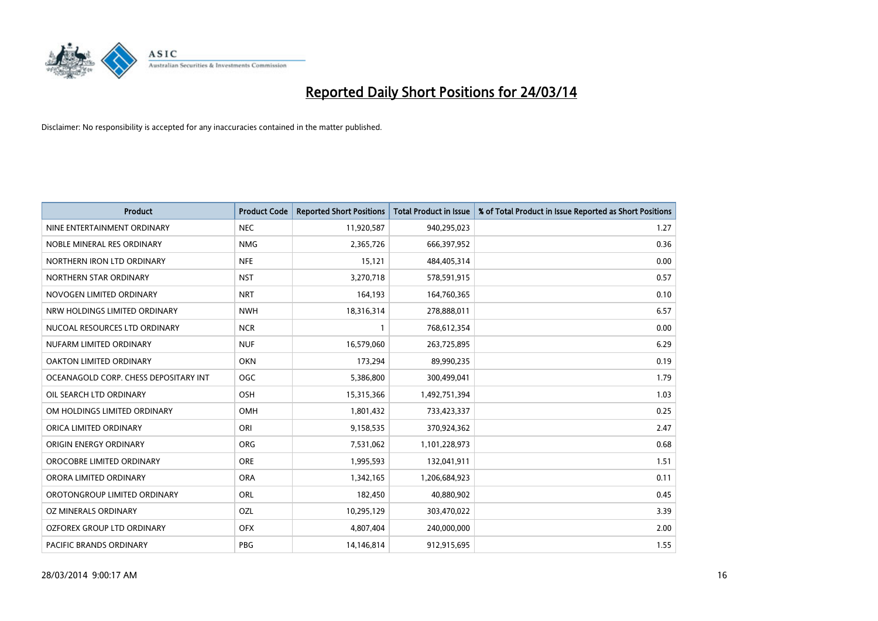

| <b>Product</b>                        | <b>Product Code</b> | <b>Reported Short Positions</b> | <b>Total Product in Issue</b> | % of Total Product in Issue Reported as Short Positions |
|---------------------------------------|---------------------|---------------------------------|-------------------------------|---------------------------------------------------------|
| NINE ENTERTAINMENT ORDINARY           | <b>NEC</b>          | 11,920,587                      | 940,295,023                   | 1.27                                                    |
| NOBLE MINERAL RES ORDINARY            | <b>NMG</b>          | 2,365,726                       | 666,397,952                   | 0.36                                                    |
| NORTHERN IRON LTD ORDINARY            | <b>NFE</b>          | 15,121                          | 484,405,314                   | 0.00                                                    |
| NORTHERN STAR ORDINARY                | <b>NST</b>          | 3,270,718                       | 578,591,915                   | 0.57                                                    |
| NOVOGEN LIMITED ORDINARY              | <b>NRT</b>          | 164,193                         | 164,760,365                   | 0.10                                                    |
| NRW HOLDINGS LIMITED ORDINARY         | <b>NWH</b>          | 18,316,314                      | 278,888,011                   | 6.57                                                    |
| NUCOAL RESOURCES LTD ORDINARY         | <b>NCR</b>          |                                 | 768,612,354                   | 0.00                                                    |
| NUFARM LIMITED ORDINARY               | <b>NUF</b>          | 16,579,060                      | 263,725,895                   | 6.29                                                    |
| OAKTON LIMITED ORDINARY               | <b>OKN</b>          | 173,294                         | 89,990,235                    | 0.19                                                    |
| OCEANAGOLD CORP. CHESS DEPOSITARY INT | <b>OGC</b>          | 5,386,800                       | 300,499,041                   | 1.79                                                    |
| OIL SEARCH LTD ORDINARY               | OSH                 | 15,315,366                      | 1,492,751,394                 | 1.03                                                    |
| OM HOLDINGS LIMITED ORDINARY          | OMH                 | 1,801,432                       | 733,423,337                   | 0.25                                                    |
| ORICA LIMITED ORDINARY                | ORI                 | 9,158,535                       | 370,924,362                   | 2.47                                                    |
| ORIGIN ENERGY ORDINARY                | ORG                 | 7,531,062                       | 1,101,228,973                 | 0.68                                                    |
| OROCOBRE LIMITED ORDINARY             | <b>ORE</b>          | 1,995,593                       | 132,041,911                   | 1.51                                                    |
| ORORA LIMITED ORDINARY                | <b>ORA</b>          | 1,342,165                       | 1,206,684,923                 | 0.11                                                    |
| OROTONGROUP LIMITED ORDINARY          | ORL                 | 182,450                         | 40,880,902                    | 0.45                                                    |
| OZ MINERALS ORDINARY                  | OZL                 | 10,295,129                      | 303,470,022                   | 3.39                                                    |
| OZFOREX GROUP LTD ORDINARY            | <b>OFX</b>          | 4,807,404                       | 240,000,000                   | 2.00                                                    |
| PACIFIC BRANDS ORDINARY               | <b>PBG</b>          | 14,146,814                      | 912,915,695                   | 1.55                                                    |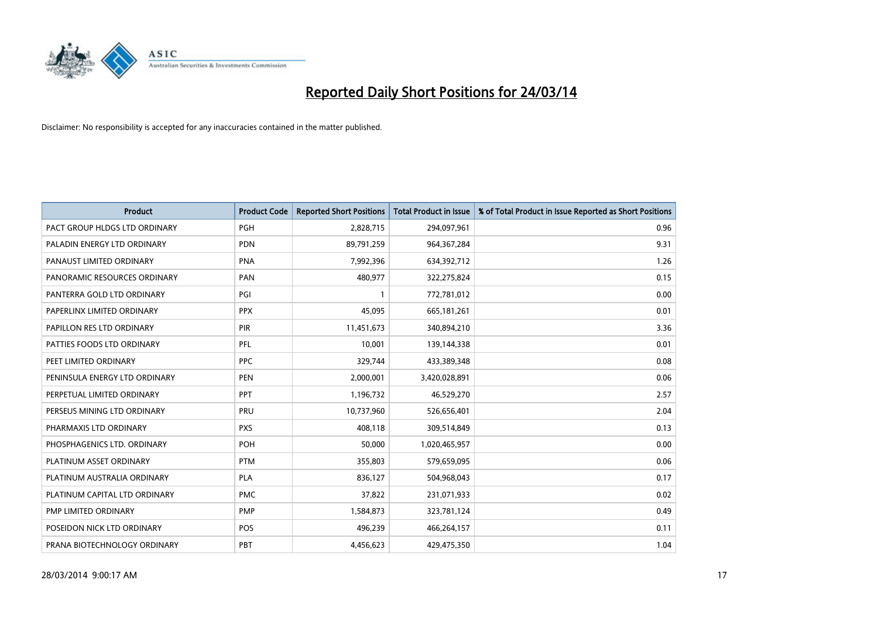

| <b>Product</b>                | <b>Product Code</b> | <b>Reported Short Positions</b> | <b>Total Product in Issue</b> | % of Total Product in Issue Reported as Short Positions |
|-------------------------------|---------------------|---------------------------------|-------------------------------|---------------------------------------------------------|
| PACT GROUP HLDGS LTD ORDINARY | <b>PGH</b>          | 2,828,715                       | 294,097,961                   | 0.96                                                    |
| PALADIN ENERGY LTD ORDINARY   | <b>PDN</b>          | 89,791,259                      | 964, 367, 284                 | 9.31                                                    |
| PANAUST LIMITED ORDINARY      | <b>PNA</b>          | 7,992,396                       | 634,392,712                   | 1.26                                                    |
| PANORAMIC RESOURCES ORDINARY  | <b>PAN</b>          | 480,977                         | 322,275,824                   | 0.15                                                    |
| PANTERRA GOLD LTD ORDINARY    | PGI                 | $\mathbf{1}$                    | 772,781,012                   | 0.00                                                    |
| PAPERLINX LIMITED ORDINARY    | <b>PPX</b>          | 45,095                          | 665, 181, 261                 | 0.01                                                    |
| PAPILLON RES LTD ORDINARY     | <b>PIR</b>          | 11,451,673                      | 340,894,210                   | 3.36                                                    |
| PATTIES FOODS LTD ORDINARY    | PFL                 | 10,001                          | 139,144,338                   | 0.01                                                    |
| PEET LIMITED ORDINARY         | <b>PPC</b>          | 329,744                         | 433,389,348                   | 0.08                                                    |
| PENINSULA ENERGY LTD ORDINARY | <b>PEN</b>          | 2,000,001                       | 3,420,028,891                 | 0.06                                                    |
| PERPETUAL LIMITED ORDINARY    | PPT                 | 1,196,732                       | 46,529,270                    | 2.57                                                    |
| PERSEUS MINING LTD ORDINARY   | PRU                 | 10,737,960                      | 526,656,401                   | 2.04                                                    |
| PHARMAXIS LTD ORDINARY        | <b>PXS</b>          | 408,118                         | 309,514,849                   | 0.13                                                    |
| PHOSPHAGENICS LTD. ORDINARY   | <b>POH</b>          | 50,000                          | 1,020,465,957                 | 0.00                                                    |
| PLATINUM ASSET ORDINARY       | <b>PTM</b>          | 355,803                         | 579,659,095                   | 0.06                                                    |
| PLATINUM AUSTRALIA ORDINARY   | <b>PLA</b>          | 836,127                         | 504,968,043                   | 0.17                                                    |
| PLATINUM CAPITAL LTD ORDINARY | <b>PMC</b>          | 37,822                          | 231,071,933                   | 0.02                                                    |
| PMP LIMITED ORDINARY          | <b>PMP</b>          | 1,584,873                       | 323,781,124                   | 0.49                                                    |
| POSEIDON NICK LTD ORDINARY    | <b>POS</b>          | 496,239                         | 466,264,157                   | 0.11                                                    |
| PRANA BIOTECHNOLOGY ORDINARY  | PBT                 | 4,456,623                       | 429,475,350                   | 1.04                                                    |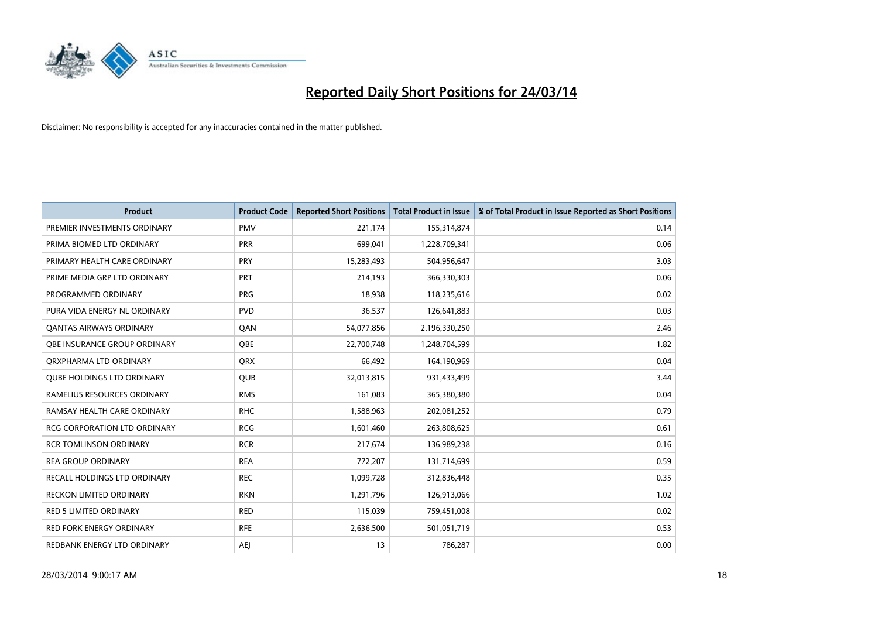

| <b>Product</b>                      | <b>Product Code</b> | <b>Reported Short Positions</b> | <b>Total Product in Issue</b> | % of Total Product in Issue Reported as Short Positions |
|-------------------------------------|---------------------|---------------------------------|-------------------------------|---------------------------------------------------------|
| PREMIER INVESTMENTS ORDINARY        | <b>PMV</b>          | 221,174                         | 155,314,874                   | 0.14                                                    |
| PRIMA BIOMED LTD ORDINARY           | <b>PRR</b>          | 699,041                         | 1,228,709,341                 | 0.06                                                    |
| PRIMARY HEALTH CARE ORDINARY        | <b>PRY</b>          | 15,283,493                      | 504,956,647                   | 3.03                                                    |
| PRIME MEDIA GRP LTD ORDINARY        | <b>PRT</b>          | 214,193                         | 366,330,303                   | 0.06                                                    |
| PROGRAMMED ORDINARY                 | <b>PRG</b>          | 18,938                          | 118,235,616                   | 0.02                                                    |
| PURA VIDA ENERGY NL ORDINARY        | <b>PVD</b>          | 36,537                          | 126,641,883                   | 0.03                                                    |
| <b>QANTAS AIRWAYS ORDINARY</b>      | QAN                 | 54,077,856                      | 2,196,330,250                 | 2.46                                                    |
| <b>OBE INSURANCE GROUP ORDINARY</b> | <b>OBE</b>          | 22,700,748                      | 1,248,704,599                 | 1.82                                                    |
| ORXPHARMA LTD ORDINARY              | <b>QRX</b>          | 66,492                          | 164,190,969                   | 0.04                                                    |
| <b>QUBE HOLDINGS LTD ORDINARY</b>   | <b>QUB</b>          | 32,013,815                      | 931,433,499                   | 3.44                                                    |
| RAMELIUS RESOURCES ORDINARY         | <b>RMS</b>          | 161,083                         | 365,380,380                   | 0.04                                                    |
| RAMSAY HEALTH CARE ORDINARY         | <b>RHC</b>          | 1,588,963                       | 202,081,252                   | 0.79                                                    |
| RCG CORPORATION LTD ORDINARY        | <b>RCG</b>          | 1,601,460                       | 263,808,625                   | 0.61                                                    |
| <b>RCR TOMLINSON ORDINARY</b>       | <b>RCR</b>          | 217,674                         | 136,989,238                   | 0.16                                                    |
| <b>REA GROUP ORDINARY</b>           | <b>REA</b>          | 772,207                         | 131,714,699                   | 0.59                                                    |
| RECALL HOLDINGS LTD ORDINARY        | <b>REC</b>          | 1,099,728                       | 312,836,448                   | 0.35                                                    |
| RECKON LIMITED ORDINARY             | <b>RKN</b>          | 1,291,796                       | 126,913,066                   | 1.02                                                    |
| RED 5 LIMITED ORDINARY              | <b>RED</b>          | 115,039                         | 759,451,008                   | 0.02                                                    |
| <b>RED FORK ENERGY ORDINARY</b>     | <b>RFE</b>          | 2,636,500                       | 501,051,719                   | 0.53                                                    |
| REDBANK ENERGY LTD ORDINARY         | <b>AEJ</b>          | 13                              | 786,287                       | 0.00                                                    |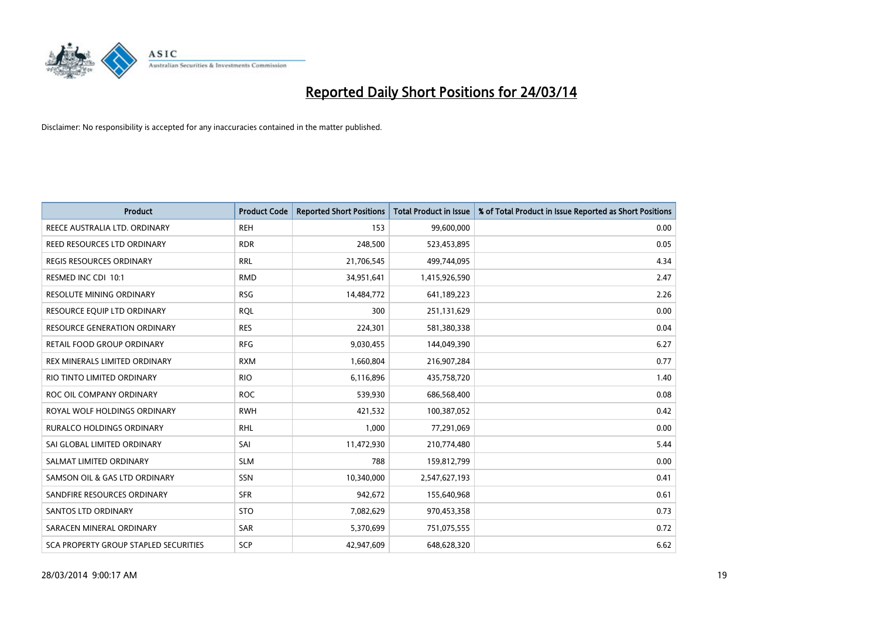

| <b>Product</b>                               | <b>Product Code</b> | <b>Reported Short Positions</b> | <b>Total Product in Issue</b> | % of Total Product in Issue Reported as Short Positions |
|----------------------------------------------|---------------------|---------------------------------|-------------------------------|---------------------------------------------------------|
| REECE AUSTRALIA LTD. ORDINARY                | <b>REH</b>          | 153                             | 99,600,000                    | 0.00                                                    |
| REED RESOURCES LTD ORDINARY                  | <b>RDR</b>          | 248,500                         | 523,453,895                   | 0.05                                                    |
| <b>REGIS RESOURCES ORDINARY</b>              | <b>RRL</b>          | 21,706,545                      | 499,744,095                   | 4.34                                                    |
| RESMED INC CDI 10:1                          | <b>RMD</b>          | 34,951,641                      | 1,415,926,590                 | 2.47                                                    |
| <b>RESOLUTE MINING ORDINARY</b>              | <b>RSG</b>          | 14,484,772                      | 641,189,223                   | 2.26                                                    |
| RESOURCE EQUIP LTD ORDINARY                  | <b>RQL</b>          | 300                             | 251,131,629                   | 0.00                                                    |
| RESOURCE GENERATION ORDINARY                 | <b>RES</b>          | 224,301                         | 581,380,338                   | 0.04                                                    |
| RETAIL FOOD GROUP ORDINARY                   | <b>RFG</b>          | 9,030,455                       | 144,049,390                   | 6.27                                                    |
| REX MINERALS LIMITED ORDINARY                | <b>RXM</b>          | 1,660,804                       | 216,907,284                   | 0.77                                                    |
| RIO TINTO LIMITED ORDINARY                   | <b>RIO</b>          | 6,116,896                       | 435,758,720                   | 1.40                                                    |
| ROC OIL COMPANY ORDINARY                     | <b>ROC</b>          | 539,930                         | 686,568,400                   | 0.08                                                    |
| ROYAL WOLF HOLDINGS ORDINARY                 | <b>RWH</b>          | 421,532                         | 100,387,052                   | 0.42                                                    |
| RURALCO HOLDINGS ORDINARY                    | <b>RHL</b>          | 1,000                           | 77,291,069                    | 0.00                                                    |
| SAI GLOBAL LIMITED ORDINARY                  | SAI                 | 11,472,930                      | 210,774,480                   | 5.44                                                    |
| SALMAT LIMITED ORDINARY                      | <b>SLM</b>          | 788                             | 159,812,799                   | 0.00                                                    |
| SAMSON OIL & GAS LTD ORDINARY                | SSN                 | 10,340,000                      | 2,547,627,193                 | 0.41                                                    |
| SANDFIRE RESOURCES ORDINARY                  | <b>SFR</b>          | 942,672                         | 155,640,968                   | 0.61                                                    |
| <b>SANTOS LTD ORDINARY</b>                   | <b>STO</b>          | 7,082,629                       | 970,453,358                   | 0.73                                                    |
| SARACEN MINERAL ORDINARY                     | SAR                 | 5,370,699                       | 751,075,555                   | 0.72                                                    |
| <b>SCA PROPERTY GROUP STAPLED SECURITIES</b> | SCP                 | 42,947,609                      | 648,628,320                   | 6.62                                                    |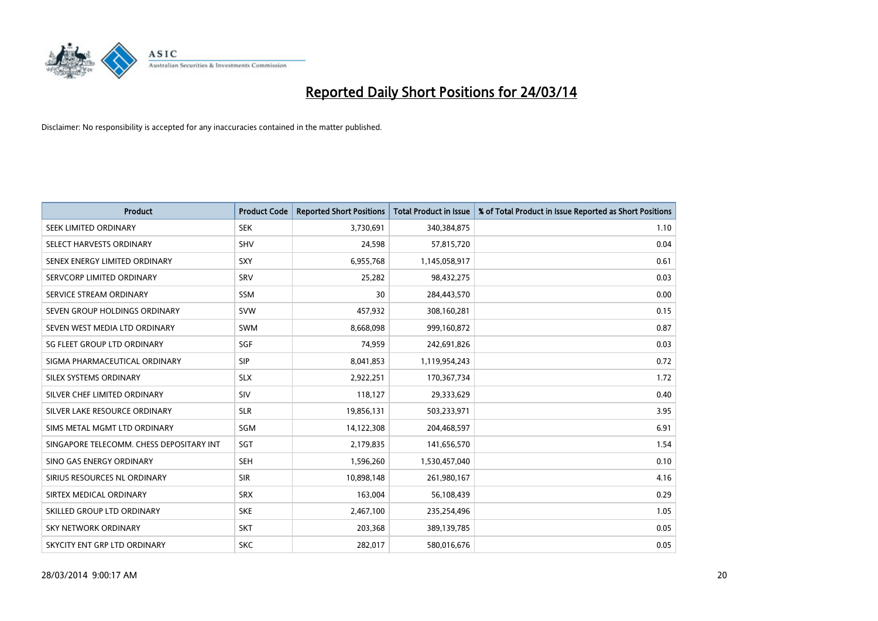

| <b>Product</b>                           | <b>Product Code</b> | <b>Reported Short Positions</b> | <b>Total Product in Issue</b> | % of Total Product in Issue Reported as Short Positions |
|------------------------------------------|---------------------|---------------------------------|-------------------------------|---------------------------------------------------------|
| SEEK LIMITED ORDINARY                    | <b>SEK</b>          | 3,730,691                       | 340,384,875                   | 1.10                                                    |
| SELECT HARVESTS ORDINARY                 | <b>SHV</b>          | 24,598                          | 57,815,720                    | 0.04                                                    |
| SENEX ENERGY LIMITED ORDINARY            | <b>SXY</b>          | 6,955,768                       | 1,145,058,917                 | 0.61                                                    |
| SERVCORP LIMITED ORDINARY                | SRV                 | 25,282                          | 98,432,275                    | 0.03                                                    |
| SERVICE STREAM ORDINARY                  | <b>SSM</b>          | 30                              | 284,443,570                   | 0.00                                                    |
| SEVEN GROUP HOLDINGS ORDINARY            | <b>SVW</b>          | 457,932                         | 308,160,281                   | 0.15                                                    |
| SEVEN WEST MEDIA LTD ORDINARY            | SWM                 | 8,668,098                       | 999,160,872                   | 0.87                                                    |
| SG FLEET GROUP LTD ORDINARY              | SGF                 | 74,959                          | 242,691,826                   | 0.03                                                    |
| SIGMA PHARMACEUTICAL ORDINARY            | <b>SIP</b>          | 8,041,853                       | 1,119,954,243                 | 0.72                                                    |
| SILEX SYSTEMS ORDINARY                   | <b>SLX</b>          | 2,922,251                       | 170,367,734                   | 1.72                                                    |
| SILVER CHEF LIMITED ORDINARY             | <b>SIV</b>          | 118,127                         | 29,333,629                    | 0.40                                                    |
| SILVER LAKE RESOURCE ORDINARY            | <b>SLR</b>          | 19,856,131                      | 503,233,971                   | 3.95                                                    |
| SIMS METAL MGMT LTD ORDINARY             | SGM                 | 14,122,308                      | 204,468,597                   | 6.91                                                    |
| SINGAPORE TELECOMM. CHESS DEPOSITARY INT | SGT                 | 2,179,835                       | 141,656,570                   | 1.54                                                    |
| SINO GAS ENERGY ORDINARY                 | <b>SEH</b>          | 1,596,260                       | 1,530,457,040                 | 0.10                                                    |
| SIRIUS RESOURCES NL ORDINARY             | <b>SIR</b>          | 10,898,148                      | 261,980,167                   | 4.16                                                    |
| SIRTEX MEDICAL ORDINARY                  | <b>SRX</b>          | 163,004                         | 56,108,439                    | 0.29                                                    |
| SKILLED GROUP LTD ORDINARY               | <b>SKE</b>          | 2,467,100                       | 235,254,496                   | 1.05                                                    |
| <b>SKY NETWORK ORDINARY</b>              | <b>SKT</b>          | 203,368                         | 389,139,785                   | 0.05                                                    |
| SKYCITY ENT GRP LTD ORDINARY             | <b>SKC</b>          | 282,017                         | 580,016,676                   | 0.05                                                    |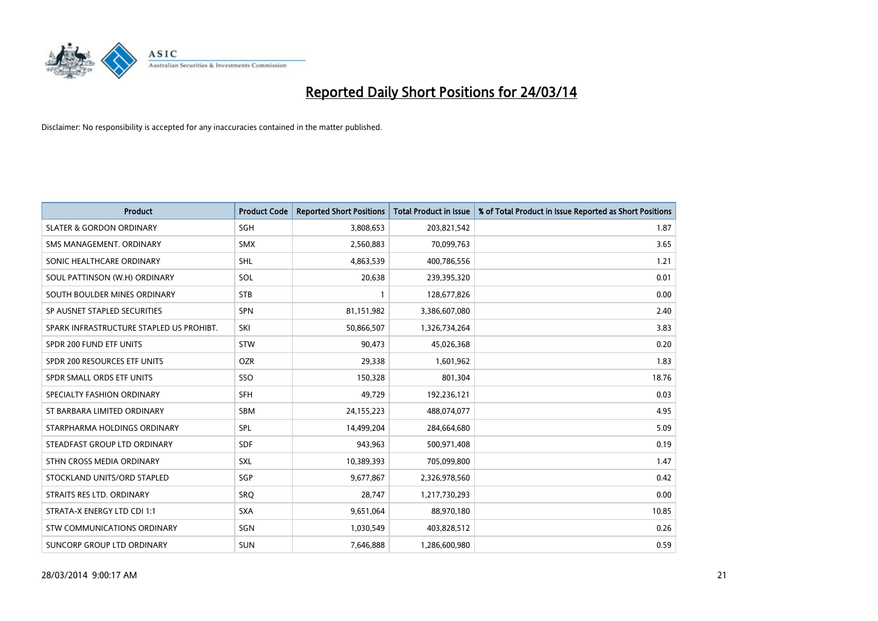

| <b>Product</b>                           | <b>Product Code</b> | <b>Reported Short Positions</b> | <b>Total Product in Issue</b> | % of Total Product in Issue Reported as Short Positions |
|------------------------------------------|---------------------|---------------------------------|-------------------------------|---------------------------------------------------------|
| <b>SLATER &amp; GORDON ORDINARY</b>      | SGH                 | 3,808,653                       | 203,821,542                   | 1.87                                                    |
| SMS MANAGEMENT. ORDINARY                 | <b>SMX</b>          | 2,560,883                       | 70,099,763                    | 3.65                                                    |
| SONIC HEALTHCARE ORDINARY                | <b>SHL</b>          | 4,863,539                       | 400,786,556                   | 1.21                                                    |
| SOUL PATTINSON (W.H) ORDINARY            | <b>SOL</b>          | 20,638                          | 239,395,320                   | 0.01                                                    |
| SOUTH BOULDER MINES ORDINARY             | <b>STB</b>          | 1                               | 128,677,826                   | 0.00                                                    |
| SP AUSNET STAPLED SECURITIES             | <b>SPN</b>          | 81,151,982                      | 3,386,607,080                 | 2.40                                                    |
| SPARK INFRASTRUCTURE STAPLED US PROHIBT. | SKI                 | 50,866,507                      | 1,326,734,264                 | 3.83                                                    |
| SPDR 200 FUND ETF UNITS                  | <b>STW</b>          | 90,473                          | 45,026,368                    | 0.20                                                    |
| SPDR 200 RESOURCES ETF UNITS             | <b>OZR</b>          | 29,338                          | 1,601,962                     | 1.83                                                    |
| SPDR SMALL ORDS ETF UNITS                | SSO                 | 150,328                         | 801,304                       | 18.76                                                   |
| SPECIALTY FASHION ORDINARY               | <b>SFH</b>          | 49,729                          | 192,236,121                   | 0.03                                                    |
| ST BARBARA LIMITED ORDINARY              | <b>SBM</b>          | 24,155,223                      | 488,074,077                   | 4.95                                                    |
| STARPHARMA HOLDINGS ORDINARY             | <b>SPL</b>          | 14,499,204                      | 284,664,680                   | 5.09                                                    |
| STEADFAST GROUP LTD ORDINARY             | SDF                 | 943,963                         | 500,971,408                   | 0.19                                                    |
| STHN CROSS MEDIA ORDINARY                | <b>SXL</b>          | 10,389,393                      | 705,099,800                   | 1.47                                                    |
| STOCKLAND UNITS/ORD STAPLED              | SGP                 | 9,677,867                       | 2,326,978,560                 | 0.42                                                    |
| STRAITS RES LTD. ORDINARY                | SRQ                 | 28,747                          | 1,217,730,293                 | 0.00                                                    |
| STRATA-X ENERGY LTD CDI 1:1              | <b>SXA</b>          | 9,651,064                       | 88,970,180                    | 10.85                                                   |
| STW COMMUNICATIONS ORDINARY              | SGN                 | 1,030,549                       | 403,828,512                   | 0.26                                                    |
| SUNCORP GROUP LTD ORDINARY               | <b>SUN</b>          | 7,646,888                       | 1,286,600,980                 | 0.59                                                    |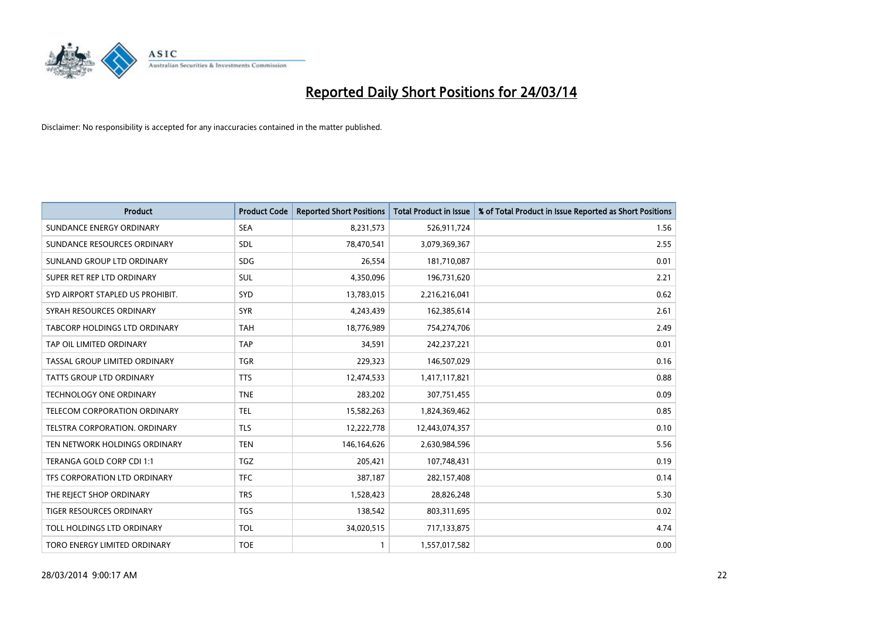

| <b>Product</b>                   | <b>Product Code</b> | <b>Reported Short Positions</b> | <b>Total Product in Issue</b> | % of Total Product in Issue Reported as Short Positions |
|----------------------------------|---------------------|---------------------------------|-------------------------------|---------------------------------------------------------|
| SUNDANCE ENERGY ORDINARY         | <b>SEA</b>          | 8,231,573                       | 526,911,724                   | 1.56                                                    |
| SUNDANCE RESOURCES ORDINARY      | <b>SDL</b>          | 78,470,541                      | 3,079,369,367                 | 2.55                                                    |
| SUNLAND GROUP LTD ORDINARY       | <b>SDG</b>          | 26,554                          | 181,710,087                   | 0.01                                                    |
| SUPER RET REP LTD ORDINARY       | <b>SUL</b>          | 4,350,096                       | 196,731,620                   | 2.21                                                    |
| SYD AIRPORT STAPLED US PROHIBIT. | SYD                 | 13,783,015                      | 2,216,216,041                 | 0.62                                                    |
| SYRAH RESOURCES ORDINARY         | <b>SYR</b>          | 4,243,439                       | 162,385,614                   | 2.61                                                    |
| TABCORP HOLDINGS LTD ORDINARY    | <b>TAH</b>          | 18,776,989                      | 754,274,706                   | 2.49                                                    |
| TAP OIL LIMITED ORDINARY         | <b>TAP</b>          | 34,591                          | 242,237,221                   | 0.01                                                    |
| TASSAL GROUP LIMITED ORDINARY    | <b>TGR</b>          | 229,323                         | 146,507,029                   | 0.16                                                    |
| <b>TATTS GROUP LTD ORDINARY</b>  | <b>TTS</b>          | 12,474,533                      | 1,417,117,821                 | 0.88                                                    |
| TECHNOLOGY ONE ORDINARY          | <b>TNE</b>          | 283,202                         | 307,751,455                   | 0.09                                                    |
| TELECOM CORPORATION ORDINARY     | <b>TEL</b>          | 15,582,263                      | 1,824,369,462                 | 0.85                                                    |
| TELSTRA CORPORATION, ORDINARY    | <b>TLS</b>          | 12,222,778                      | 12,443,074,357                | 0.10                                                    |
| TEN NETWORK HOLDINGS ORDINARY    | <b>TEN</b>          | 146,164,626                     | 2,630,984,596                 | 5.56                                                    |
| TERANGA GOLD CORP CDI 1:1        | <b>TGZ</b>          | 205,421                         | 107,748,431                   | 0.19                                                    |
| TFS CORPORATION LTD ORDINARY     | <b>TFC</b>          | 387,187                         | 282,157,408                   | 0.14                                                    |
| THE REJECT SHOP ORDINARY         | <b>TRS</b>          | 1,528,423                       | 28,826,248                    | 5.30                                                    |
| TIGER RESOURCES ORDINARY         | <b>TGS</b>          | 138,542                         | 803,311,695                   | 0.02                                                    |
| TOLL HOLDINGS LTD ORDINARY       | <b>TOL</b>          | 34,020,515                      | 717,133,875                   | 4.74                                                    |
| TORO ENERGY LIMITED ORDINARY     | <b>TOE</b>          | 1                               | 1,557,017,582                 | 0.00                                                    |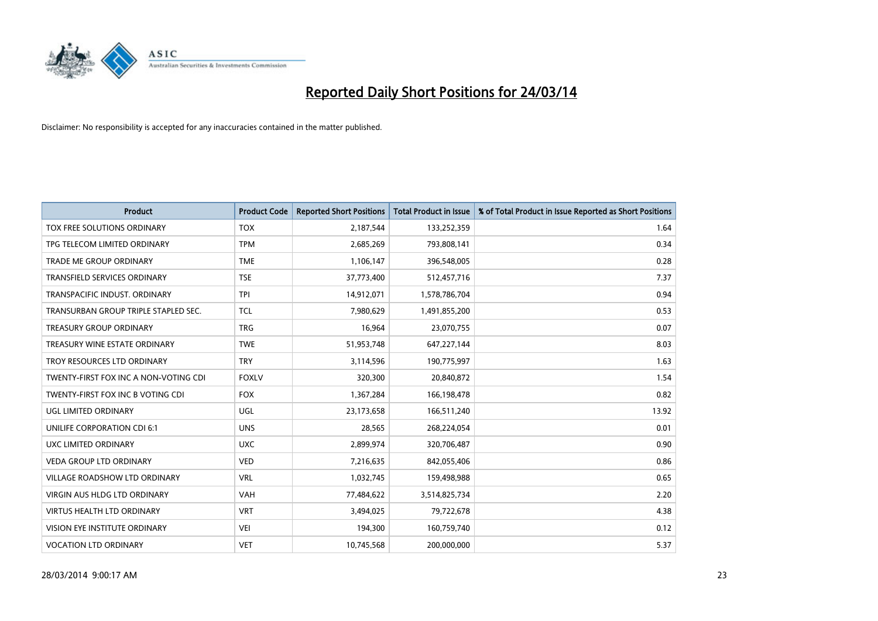

| <b>Product</b>                        | <b>Product Code</b> | <b>Reported Short Positions</b> | <b>Total Product in Issue</b> | % of Total Product in Issue Reported as Short Positions |
|---------------------------------------|---------------------|---------------------------------|-------------------------------|---------------------------------------------------------|
| TOX FREE SOLUTIONS ORDINARY           | <b>TOX</b>          | 2,187,544                       | 133,252,359                   | 1.64                                                    |
| TPG TELECOM LIMITED ORDINARY          | <b>TPM</b>          | 2,685,269                       | 793,808,141                   | 0.34                                                    |
| <b>TRADE ME GROUP ORDINARY</b>        | <b>TME</b>          | 1,106,147                       | 396,548,005                   | 0.28                                                    |
| TRANSFIELD SERVICES ORDINARY          | <b>TSE</b>          | 37,773,400                      | 512,457,716                   | 7.37                                                    |
| TRANSPACIFIC INDUST, ORDINARY         | <b>TPI</b>          | 14,912,071                      | 1,578,786,704                 | 0.94                                                    |
| TRANSURBAN GROUP TRIPLE STAPLED SEC.  | <b>TCL</b>          | 7,980,629                       | 1,491,855,200                 | 0.53                                                    |
| <b>TREASURY GROUP ORDINARY</b>        | <b>TRG</b>          | 16,964                          | 23,070,755                    | 0.07                                                    |
| TREASURY WINE ESTATE ORDINARY         | <b>TWE</b>          | 51,953,748                      | 647,227,144                   | 8.03                                                    |
| TROY RESOURCES LTD ORDINARY           | <b>TRY</b>          | 3,114,596                       | 190,775,997                   | 1.63                                                    |
| TWENTY-FIRST FOX INC A NON-VOTING CDI | <b>FOXLV</b>        | 320,300                         | 20,840,872                    | 1.54                                                    |
| TWENTY-FIRST FOX INC B VOTING CDI     | <b>FOX</b>          | 1,367,284                       | 166,198,478                   | 0.82                                                    |
| UGL LIMITED ORDINARY                  | UGL                 | 23,173,658                      | 166,511,240                   | 13.92                                                   |
| UNILIFE CORPORATION CDI 6:1           | <b>UNS</b>          | 28,565                          | 268,224,054                   | 0.01                                                    |
| <b>UXC LIMITED ORDINARY</b>           | <b>UXC</b>          | 2,899,974                       | 320,706,487                   | 0.90                                                    |
| VEDA GROUP LTD ORDINARY               | <b>VED</b>          | 7,216,635                       | 842,055,406                   | 0.86                                                    |
| <b>VILLAGE ROADSHOW LTD ORDINARY</b>  | <b>VRL</b>          | 1,032,745                       | 159,498,988                   | 0.65                                                    |
| VIRGIN AUS HLDG LTD ORDINARY          | <b>VAH</b>          | 77,484,622                      | 3,514,825,734                 | 2.20                                                    |
| <b>VIRTUS HEALTH LTD ORDINARY</b>     | <b>VRT</b>          | 3,494,025                       | 79,722,678                    | 4.38                                                    |
| VISION EYE INSTITUTE ORDINARY         | <b>VEI</b>          | 194,300                         | 160,759,740                   | 0.12                                                    |
| <b>VOCATION LTD ORDINARY</b>          | <b>VET</b>          | 10,745,568                      | 200,000,000                   | 5.37                                                    |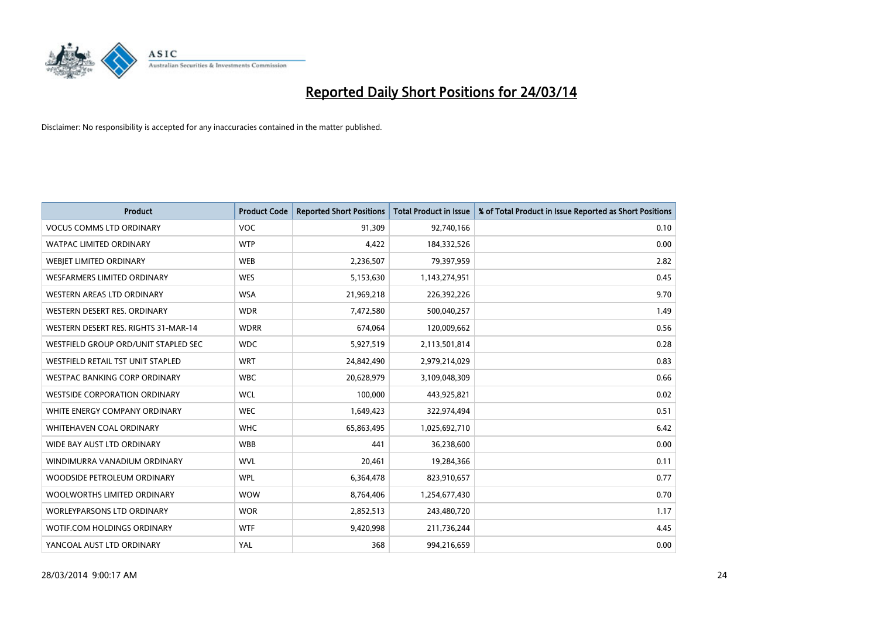

| <b>Product</b>                       | <b>Product Code</b> | <b>Reported Short Positions</b> | <b>Total Product in Issue</b> | % of Total Product in Issue Reported as Short Positions |
|--------------------------------------|---------------------|---------------------------------|-------------------------------|---------------------------------------------------------|
| <b>VOCUS COMMS LTD ORDINARY</b>      | <b>VOC</b>          | 91,309                          | 92,740,166                    | 0.10                                                    |
| <b>WATPAC LIMITED ORDINARY</b>       | <b>WTP</b>          | 4,422                           | 184,332,526                   | 0.00                                                    |
| WEBIET LIMITED ORDINARY              | <b>WEB</b>          | 2,236,507                       | 79,397,959                    | 2.82                                                    |
| <b>WESFARMERS LIMITED ORDINARY</b>   | <b>WES</b>          | 5,153,630                       | 1,143,274,951                 | 0.45                                                    |
| <b>WESTERN AREAS LTD ORDINARY</b>    | <b>WSA</b>          | 21,969,218                      | 226,392,226                   | 9.70                                                    |
| WESTERN DESERT RES. ORDINARY         | <b>WDR</b>          | 7,472,580                       | 500,040,257                   | 1.49                                                    |
| WESTERN DESERT RES. RIGHTS 31-MAR-14 | <b>WDRR</b>         | 674,064                         | 120,009,662                   | 0.56                                                    |
| WESTFIELD GROUP ORD/UNIT STAPLED SEC | <b>WDC</b>          | 5,927,519                       | 2,113,501,814                 | 0.28                                                    |
| WESTFIELD RETAIL TST UNIT STAPLED    | <b>WRT</b>          | 24,842,490                      | 2,979,214,029                 | 0.83                                                    |
| WESTPAC BANKING CORP ORDINARY        | <b>WBC</b>          | 20,628,979                      | 3,109,048,309                 | 0.66                                                    |
| <b>WESTSIDE CORPORATION ORDINARY</b> | <b>WCL</b>          | 100,000                         | 443,925,821                   | 0.02                                                    |
| WHITE ENERGY COMPANY ORDINARY        | <b>WEC</b>          | 1,649,423                       | 322,974,494                   | 0.51                                                    |
| WHITEHAVEN COAL ORDINARY             | <b>WHC</b>          | 65,863,495                      | 1,025,692,710                 | 6.42                                                    |
| WIDE BAY AUST LTD ORDINARY           | <b>WBB</b>          | 441                             | 36,238,600                    | 0.00                                                    |
| WINDIMURRA VANADIUM ORDINARY         | <b>WVL</b>          | 20,461                          | 19,284,366                    | 0.11                                                    |
| WOODSIDE PETROLEUM ORDINARY          | <b>WPL</b>          | 6,364,478                       | 823,910,657                   | 0.77                                                    |
| WOOLWORTHS LIMITED ORDINARY          | <b>WOW</b>          | 8,764,406                       | 1,254,677,430                 | 0.70                                                    |
| <b>WORLEYPARSONS LTD ORDINARY</b>    | <b>WOR</b>          | 2,852,513                       | 243,480,720                   | 1.17                                                    |
| WOTIF.COM HOLDINGS ORDINARY          | <b>WTF</b>          | 9,420,998                       | 211,736,244                   | 4.45                                                    |
| YANCOAL AUST LTD ORDINARY            | YAL                 | 368                             | 994,216,659                   | 0.00                                                    |